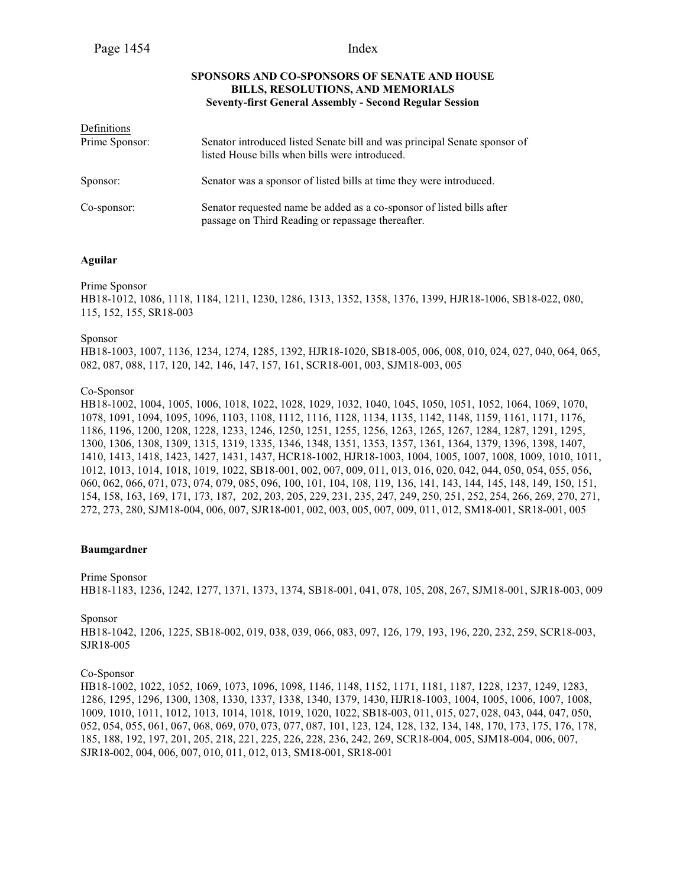# **SPONSORS AND CO-SPONSORS OF SENATE AND HOUSE BILLS, RESOLUTIONS, AND MEMORIALS Seventy-first General Assembly - Second Regular Session**

| Definitions    |                                                                                                                             |
|----------------|-----------------------------------------------------------------------------------------------------------------------------|
| Prime Sponsor: | Senator introduced listed Senate bill and was principal Senate sponsor of<br>listed House bills when bills were introduced. |
| Sponsor:       | Senator was a sponsor of listed bills at time they were introduced.                                                         |
| Co-sponsor:    | Senator requested name be added as a co-sponsor of listed bills after<br>passage on Third Reading or repassage thereafter.  |

# **Aguilar**

Prime Sponsor

HB18-1012, 1086, 1118, 1184, 1211, 1230, 1286, 1313, 1352, 1358, 1376, 1399, HJR18-1006, SB18-022, 080, 115, 152, 155, SR18-003

#### Sponsor

HB18-1003, 1007, 1136, 1234, 1274, 1285, 1392, HJR18-1020, SB18-005, 006, 008, 010, 024, 027, 040, 064, 065, 082, 087, 088, 117, 120, 142, 146, 147, 157, 161, SCR18-001, 003, SJM18-003, 005

# Co-Sponsor

HB18-1002, 1004, 1005, 1006, 1018, 1022, 1028, 1029, 1032, 1040, 1045, 1050, 1051, 1052, 1064, 1069, 1070, 1078, 1091, 1094, 1095, 1096, 1103, 1108, 1112, 1116, 1128, 1134, 1135, 1142, 1148, 1159, 1161, 1171, 1176, 1186, 1196, 1200, 1208, 1228, 1233, 1246, 1250, 1251, 1255, 1256, 1263, 1265, 1267, 1284, 1287, 1291, 1295, 1300, 1306, 1308, 1309, 1315, 1319, 1335, 1346, 1348, 1351, 1353, 1357, 1361, 1364, 1379, 1396, 1398, 1407, 1410, 1413, 1418, 1423, 1427, 1431, 1437, HCR18-1002, HJR18-1003, 1004, 1005, 1007, 1008, 1009, 1010, 1011, 1012, 1013, 1014, 1018, 1019, 1022, SB18-001, 002, 007, 009, 011, 013, 016, 020, 042, 044, 050, 054, 055, 056, 060, 062, 066, 071, 073, 074, 079, 085, 096, 100, 101, 104, 108, 119, 136, 141, 143, 144, 145, 148, 149, 150, 151, 154, 158, 163, 169, 171, 173, 187, 202, 203, 205, 229, 231, 235, 247, 249, 250, 251, 252, 254, 266, 269, 270, 271, 272, 273, 280, SJM18-004, 006, 007, SJR18-001, 002, 003, 005, 007, 009, 011, 012, SM18-001, SR18-001, 005

### **Baumgardner**

#### Prime Sponsor

HB18-1183, 1236, 1242, 1277, 1371, 1373, 1374, SB18-001, 041, 078, 105, 208, 267, SJM18-001, SJR18-003, 009

#### Sponsor

HB18-1042, 1206, 1225, SB18-002, 019, 038, 039, 066, 083, 097, 126, 179, 193, 196, 220, 232, 259, SCR18-003, SJR18-005

### Co-Sponsor

HB18-1002, 1022, 1052, 1069, 1073, 1096, 1098, 1146, 1148, 1152, 1171, 1181, 1187, 1228, 1237, 1249, 1283, 1286, 1295, 1296, 1300, 1308, 1330, 1337, 1338, 1340, 1379, 1430, HJR18-1003, 1004, 1005, 1006, 1007, 1008, 1009, 1010, 1011, 1012, 1013, 1014, 1018, 1019, 1020, 1022, SB18-003, 011, 015, 027, 028, 043, 044, 047, 050, 052, 054, 055, 061, 067, 068, 069, 070, 073, 077, 087, 101, 123, 124, 128, 132, 134, 148, 170, 173, 175, 176, 178, 185, 188, 192, 197, 201, 205, 218, 221, 225, 226, 228, 236, 242, 269, SCR18-004, 005, SJM18-004, 006, 007, SJR18-002, 004, 006, 007, 010, 011, 012, 013, SM18-001, SR18-001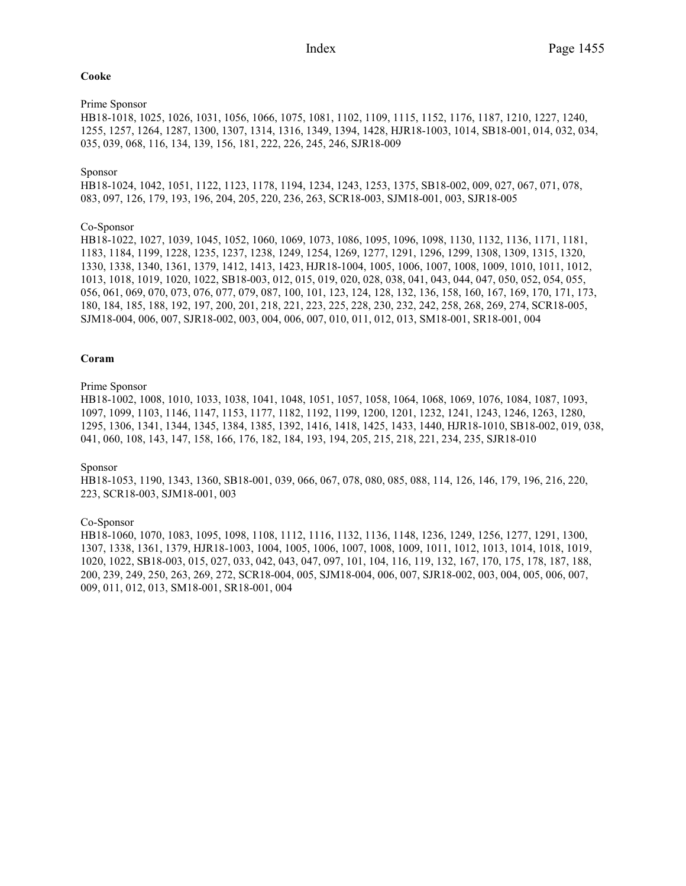## **Cooke**

# Prime Sponsor

HB18-1018, 1025, 1026, 1031, 1056, 1066, 1075, 1081, 1102, 1109, 1115, 1152, 1176, 1187, 1210, 1227, 1240, 1255, 1257, 1264, 1287, 1300, 1307, 1314, 1316, 1349, 1394, 1428, HJR18-1003, 1014, SB18-001, 014, 032, 034, 035, 039, 068, 116, 134, 139, 156, 181, 222, 226, 245, 246, SJR18-009

# Sponsor

HB18-1024, 1042, 1051, 1122, 1123, 1178, 1194, 1234, 1243, 1253, 1375, SB18-002, 009, 027, 067, 071, 078, 083, 097, 126, 179, 193, 196, 204, 205, 220, 236, 263, SCR18-003, SJM18-001, 003, SJR18-005

# Co-Sponsor

HB18-1022, 1027, 1039, 1045, 1052, 1060, 1069, 1073, 1086, 1095, 1096, 1098, 1130, 1132, 1136, 1171, 1181, 1183, 1184, 1199, 1228, 1235, 1237, 1238, 1249, 1254, 1269, 1277, 1291, 1296, 1299, 1308, 1309, 1315, 1320, 1330, 1338, 1340, 1361, 1379, 1412, 1413, 1423, HJR18-1004, 1005, 1006, 1007, 1008, 1009, 1010, 1011, 1012, 1013, 1018, 1019, 1020, 1022, SB18-003, 012, 015, 019, 020, 028, 038, 041, 043, 044, 047, 050, 052, 054, 055, 056, 061, 069, 070, 073, 076, 077, 079, 087, 100, 101, 123, 124, 128, 132, 136, 158, 160, 167, 169, 170, 171, 173, 180, 184, 185, 188, 192, 197, 200, 201, 218, 221, 223, 225, 228, 230, 232, 242, 258, 268, 269, 274, SCR18-005, SJM18-004, 006, 007, SJR18-002, 003, 004, 006, 007, 010, 011, 012, 013, SM18-001, SR18-001, 004

# **Coram**

# Prime Sponsor

HB18-1002, 1008, 1010, 1033, 1038, 1041, 1048, 1051, 1057, 1058, 1064, 1068, 1069, 1076, 1084, 1087, 1093, 1097, 1099, 1103, 1146, 1147, 1153, 1177, 1182, 1192, 1199, 1200, 1201, 1232, 1241, 1243, 1246, 1263, 1280, 1295, 1306, 1341, 1344, 1345, 1384, 1385, 1392, 1416, 1418, 1425, 1433, 1440, HJR18-1010, SB18-002, 019, 038, 041, 060, 108, 143, 147, 158, 166, 176, 182, 184, 193, 194, 205, 215, 218, 221, 234, 235, SJR18-010

#### Sponsor

HB18-1053, 1190, 1343, 1360, SB18-001, 039, 066, 067, 078, 080, 085, 088, 114, 126, 146, 179, 196, 216, 220, 223, SCR18-003, SJM18-001, 003

#### Co-Sponsor

HB18-1060, 1070, 1083, 1095, 1098, 1108, 1112, 1116, 1132, 1136, 1148, 1236, 1249, 1256, 1277, 1291, 1300, 1307, 1338, 1361, 1379, HJR18-1003, 1004, 1005, 1006, 1007, 1008, 1009, 1011, 1012, 1013, 1014, 1018, 1019, 1020, 1022, SB18-003, 015, 027, 033, 042, 043, 047, 097, 101, 104, 116, 119, 132, 167, 170, 175, 178, 187, 188, 200, 239, 249, 250, 263, 269, 272, SCR18-004, 005, SJM18-004, 006, 007, SJR18-002, 003, 004, 005, 006, 007, 009, 011, 012, 013, SM18-001, SR18-001, 004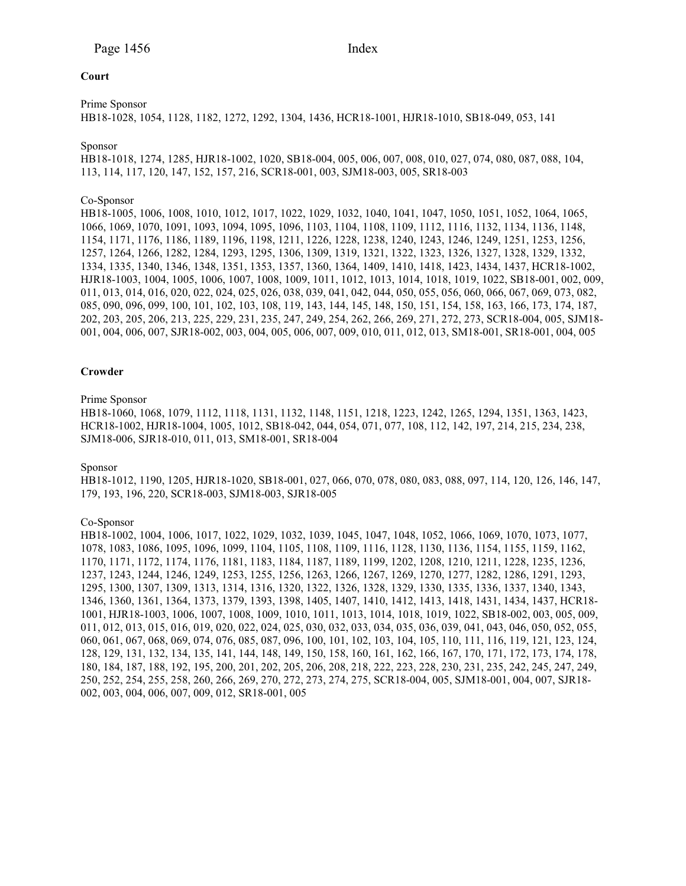# **Court**

Prime Sponsor

HB18-1028, 1054, 1128, 1182, 1272, 1292, 1304, 1436, HCR18-1001, HJR18-1010, SB18-049, 053, 141

# Sponsor

HB18-1018, 1274, 1285, HJR18-1002, 1020, SB18-004, 005, 006, 007, 008, 010, 027, 074, 080, 087, 088, 104, 113, 114, 117, 120, 147, 152, 157, 216, SCR18-001, 003, SJM18-003, 005, SR18-003

# Co-Sponsor

HB18-1005, 1006, 1008, 1010, 1012, 1017, 1022, 1029, 1032, 1040, 1041, 1047, 1050, 1051, 1052, 1064, 1065, 1066, 1069, 1070, 1091, 1093, 1094, 1095, 1096, 1103, 1104, 1108, 1109, 1112, 1116, 1132, 1134, 1136, 1148, 1154, 1171, 1176, 1186, 1189, 1196, 1198, 1211, 1226, 1228, 1238, 1240, 1243, 1246, 1249, 1251, 1253, 1256, 1257, 1264, 1266, 1282, 1284, 1293, 1295, 1306, 1309, 1319, 1321, 1322, 1323, 1326, 1327, 1328, 1329, 1332, 1334, 1335, 1340, 1346, 1348, 1351, 1353, 1357, 1360, 1364, 1409, 1410, 1418, 1423, 1434, 1437, HCR18-1002, HJR18-1003, 1004, 1005, 1006, 1007, 1008, 1009, 1011, 1012, 1013, 1014, 1018, 1019, 1022, SB18-001, 002, 009, 011, 013, 014, 016, 020, 022, 024, 025, 026, 038, 039, 041, 042, 044, 050, 055, 056, 060, 066, 067, 069, 073, 082, 085, 090, 096, 099, 100, 101, 102, 103, 108, 119, 143, 144, 145, 148, 150, 151, 154, 158, 163, 166, 173, 174, 187, 202, 203, 205, 206, 213, 225, 229, 231, 235, 247, 249, 254, 262, 266, 269, 271, 272, 273, SCR18-004, 005, SJM18- 001, 004, 006, 007, SJR18-002, 003, 004, 005, 006, 007, 009, 010, 011, 012, 013, SM18-001, SR18-001, 004, 005

# **Crowder**

# Prime Sponsor

HB18-1060, 1068, 1079, 1112, 1118, 1131, 1132, 1148, 1151, 1218, 1223, 1242, 1265, 1294, 1351, 1363, 1423, HCR18-1002, HJR18-1004, 1005, 1012, SB18-042, 044, 054, 071, 077, 108, 112, 142, 197, 214, 215, 234, 238, SJM18-006, SJR18-010, 011, 013, SM18-001, SR18-004

#### Sponsor

HB18-1012, 1190, 1205, HJR18-1020, SB18-001, 027, 066, 070, 078, 080, 083, 088, 097, 114, 120, 126, 146, 147, 179, 193, 196, 220, SCR18-003, SJM18-003, SJR18-005

#### Co-Sponsor

HB18-1002, 1004, 1006, 1017, 1022, 1029, 1032, 1039, 1045, 1047, 1048, 1052, 1066, 1069, 1070, 1073, 1077, 1078, 1083, 1086, 1095, 1096, 1099, 1104, 1105, 1108, 1109, 1116, 1128, 1130, 1136, 1154, 1155, 1159, 1162, 1170, 1171, 1172, 1174, 1176, 1181, 1183, 1184, 1187, 1189, 1199, 1202, 1208, 1210, 1211, 1228, 1235, 1236, 1237, 1243, 1244, 1246, 1249, 1253, 1255, 1256, 1263, 1266, 1267, 1269, 1270, 1277, 1282, 1286, 1291, 1293, 1295, 1300, 1307, 1309, 1313, 1314, 1316, 1320, 1322, 1326, 1328, 1329, 1330, 1335, 1336, 1337, 1340, 1343, 1346, 1360, 1361, 1364, 1373, 1379, 1393, 1398, 1405, 1407, 1410, 1412, 1413, 1418, 1431, 1434, 1437, HCR18- 1001, HJR18-1003, 1006, 1007, 1008, 1009, 1010, 1011, 1013, 1014, 1018, 1019, 1022, SB18-002, 003, 005, 009, 011, 012, 013, 015, 016, 019, 020, 022, 024, 025, 030, 032, 033, 034, 035, 036, 039, 041, 043, 046, 050, 052, 055, 060, 061, 067, 068, 069, 074, 076, 085, 087, 096, 100, 101, 102, 103, 104, 105, 110, 111, 116, 119, 121, 123, 124, 128, 129, 131, 132, 134, 135, 141, 144, 148, 149, 150, 158, 160, 161, 162, 166, 167, 170, 171, 172, 173, 174, 178, 180, 184, 187, 188, 192, 195, 200, 201, 202, 205, 206, 208, 218, 222, 223, 228, 230, 231, 235, 242, 245, 247, 249, 250, 252, 254, 255, 258, 260, 266, 269, 270, 272, 273, 274, 275, SCR18-004, 005, SJM18-001, 004, 007, SJR18- 002, 003, 004, 006, 007, 009, 012, SR18-001, 005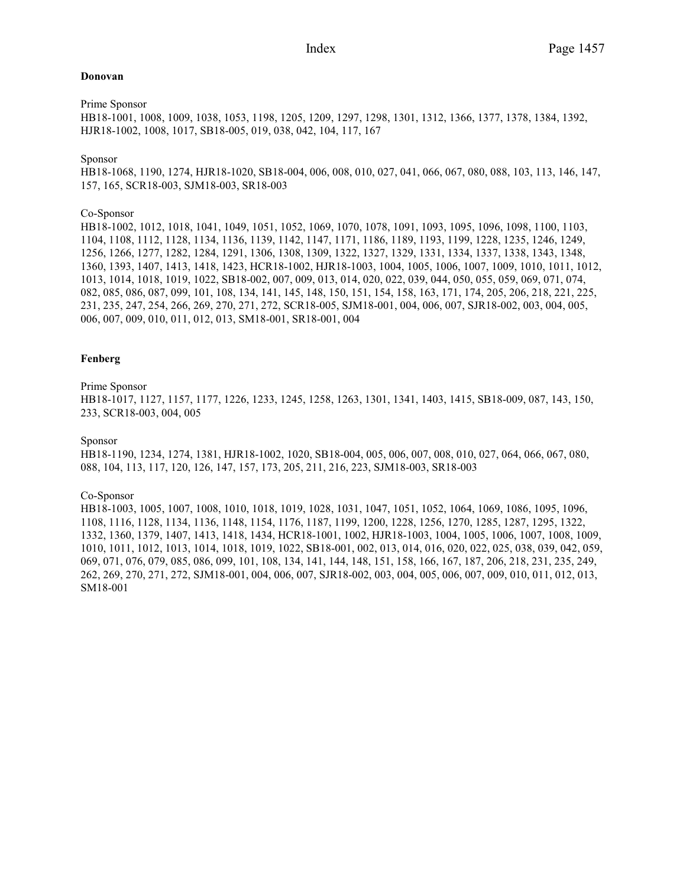# **Donovan**

Prime Sponsor

HB18-1001, 1008, 1009, 1038, 1053, 1198, 1205, 1209, 1297, 1298, 1301, 1312, 1366, 1377, 1378, 1384, 1392, HJR18-1002, 1008, 1017, SB18-005, 019, 038, 042, 104, 117, 167

# Sponsor

HB18-1068, 1190, 1274, HJR18-1020, SB18-004, 006, 008, 010, 027, 041, 066, 067, 080, 088, 103, 113, 146, 147, 157, 165, SCR18-003, SJM18-003, SR18-003

# Co-Sponsor

HB18-1002, 1012, 1018, 1041, 1049, 1051, 1052, 1069, 1070, 1078, 1091, 1093, 1095, 1096, 1098, 1100, 1103, 1104, 1108, 1112, 1128, 1134, 1136, 1139, 1142, 1147, 1171, 1186, 1189, 1193, 1199, 1228, 1235, 1246, 1249, 1256, 1266, 1277, 1282, 1284, 1291, 1306, 1308, 1309, 1322, 1327, 1329, 1331, 1334, 1337, 1338, 1343, 1348, 1360, 1393, 1407, 1413, 1418, 1423, HCR18-1002, HJR18-1003, 1004, 1005, 1006, 1007, 1009, 1010, 1011, 1012, 1013, 1014, 1018, 1019, 1022, SB18-002, 007, 009, 013, 014, 020, 022, 039, 044, 050, 055, 059, 069, 071, 074, 082, 085, 086, 087, 099, 101, 108, 134, 141, 145, 148, 150, 151, 154, 158, 163, 171, 174, 205, 206, 218, 221, 225, 231, 235, 247, 254, 266, 269, 270, 271, 272, SCR18-005, SJM18-001, 004, 006, 007, SJR18-002, 003, 004, 005, 006, 007, 009, 010, 011, 012, 013, SM18-001, SR18-001, 004

# **Fenberg**

# Prime Sponsor

HB18-1017, 1127, 1157, 1177, 1226, 1233, 1245, 1258, 1263, 1301, 1341, 1403, 1415, SB18-009, 087, 143, 150, 233, SCR18-003, 004, 005

## Sponsor

HB18-1190, 1234, 1274, 1381, HJR18-1002, 1020, SB18-004, 005, 006, 007, 008, 010, 027, 064, 066, 067, 080, 088, 104, 113, 117, 120, 126, 147, 157, 173, 205, 211, 216, 223, SJM18-003, SR18-003

# Co-Sponsor

HB18-1003, 1005, 1007, 1008, 1010, 1018, 1019, 1028, 1031, 1047, 1051, 1052, 1064, 1069, 1086, 1095, 1096, 1108, 1116, 1128, 1134, 1136, 1148, 1154, 1176, 1187, 1199, 1200, 1228, 1256, 1270, 1285, 1287, 1295, 1322, 1332, 1360, 1379, 1407, 1413, 1418, 1434, HCR18-1001, 1002, HJR18-1003, 1004, 1005, 1006, 1007, 1008, 1009, 1010, 1011, 1012, 1013, 1014, 1018, 1019, 1022, SB18-001, 002, 013, 014, 016, 020, 022, 025, 038, 039, 042, 059, 069, 071, 076, 079, 085, 086, 099, 101, 108, 134, 141, 144, 148, 151, 158, 166, 167, 187, 206, 218, 231, 235, 249, 262, 269, 270, 271, 272, SJM18-001, 004, 006, 007, SJR18-002, 003, 004, 005, 006, 007, 009, 010, 011, 012, 013, SM18-001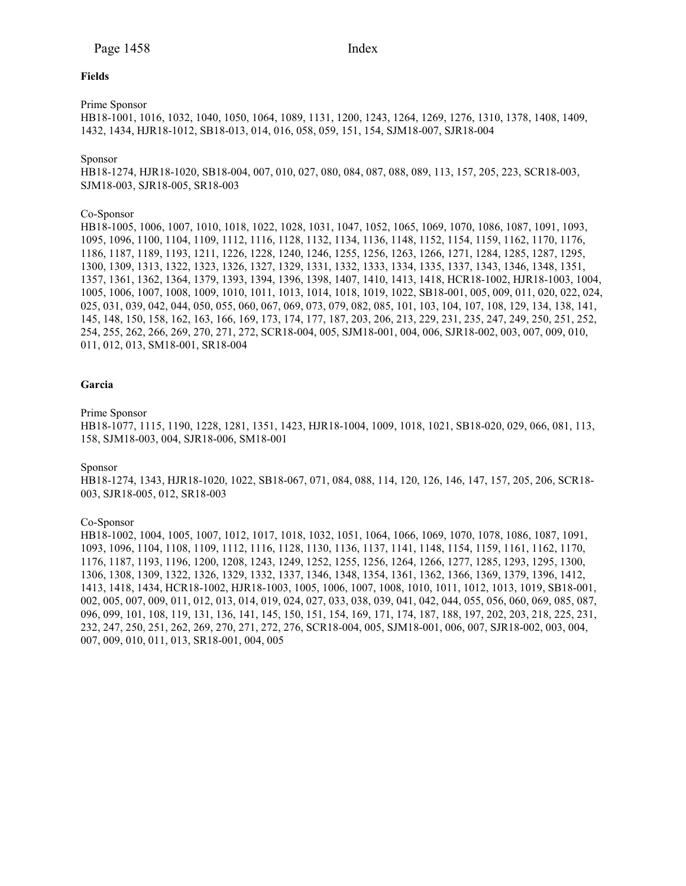## **Fields**

Prime Sponsor

HB18-1001, 1016, 1032, 1040, 1050, 1064, 1089, 1131, 1200, 1243, 1264, 1269, 1276, 1310, 1378, 1408, 1409, 1432, 1434, HJR18-1012, SB18-013, 014, 016, 058, 059, 151, 154, SJM18-007, SJR18-004

#### Sponsor

HB18-1274, HJR18-1020, SB18-004, 007, 010, 027, 080, 084, 087, 088, 089, 113, 157, 205, 223, SCR18-003, SJM18-003, SJR18-005, SR18-003

#### Co-Sponsor

HB18-1005, 1006, 1007, 1010, 1018, 1022, 1028, 1031, 1047, 1052, 1065, 1069, 1070, 1086, 1087, 1091, 1093, 1095, 1096, 1100, 1104, 1109, 1112, 1116, 1128, 1132, 1134, 1136, 1148, 1152, 1154, 1159, 1162, 1170, 1176, 1186, 1187, 1189, 1193, 1211, 1226, 1228, 1240, 1246, 1255, 1256, 1263, 1266, 1271, 1284, 1285, 1287, 1295, 1300, 1309, 1313, 1322, 1323, 1326, 1327, 1329, 1331, 1332, 1333, 1334, 1335, 1337, 1343, 1346, 1348, 1351, 1357, 1361, 1362, 1364, 1379, 1393, 1394, 1396, 1398, 1407, 1410, 1413, 1418, HCR18-1002, HJR18-1003, 1004, 1005, 1006, 1007, 1008, 1009, 1010, 1011, 1013, 1014, 1018, 1019, 1022, SB18-001, 005, 009, 011, 020, 022, 024, 025, 031, 039, 042, 044, 050, 055, 060, 067, 069, 073, 079, 082, 085, 101, 103, 104, 107, 108, 129, 134, 138, 141, 145, 148, 150, 158, 162, 163, 166, 169, 173, 174, 177, 187, 203, 206, 213, 229, 231, 235, 247, 249, 250, 251, 252, 254, 255, 262, 266, 269, 270, 271, 272, SCR18-004, 005, SJM18-001, 004, 006, SJR18-002, 003, 007, 009, 010, 011, 012, 013, SM18-001, SR18-004

#### **Garcia**

#### Prime Sponsor

HB18-1077, 1115, 1190, 1228, 1281, 1351, 1423, HJR18-1004, 1009, 1018, 1021, SB18-020, 029, 066, 081, 113, 158, SJM18-003, 004, SJR18-006, SM18-001

#### Sponsor

HB18-1274, 1343, HJR18-1020, 1022, SB18-067, 071, 084, 088, 114, 120, 126, 146, 147, 157, 205, 206, SCR18- 003, SJR18-005, 012, SR18-003

#### Co-Sponsor

HB18-1002, 1004, 1005, 1007, 1012, 1017, 1018, 1032, 1051, 1064, 1066, 1069, 1070, 1078, 1086, 1087, 1091, 1093, 1096, 1104, 1108, 1109, 1112, 1116, 1128, 1130, 1136, 1137, 1141, 1148, 1154, 1159, 1161, 1162, 1170, 1176, 1187, 1193, 1196, 1200, 1208, 1243, 1249, 1252, 1255, 1256, 1264, 1266, 1277, 1285, 1293, 1295, 1300, 1306, 1308, 1309, 1322, 1326, 1329, 1332, 1337, 1346, 1348, 1354, 1361, 1362, 1366, 1369, 1379, 1396, 1412, 1413, 1418, 1434, HCR18-1002, HJR18-1003, 1005, 1006, 1007, 1008, 1010, 1011, 1012, 1013, 1019, SB18-001, 002, 005, 007, 009, 011, 012, 013, 014, 019, 024, 027, 033, 038, 039, 041, 042, 044, 055, 056, 060, 069, 085, 087, 096, 099, 101, 108, 119, 131, 136, 141, 145, 150, 151, 154, 169, 171, 174, 187, 188, 197, 202, 203, 218, 225, 231, 232, 247, 250, 251, 262, 269, 270, 271, 272, 276, SCR18-004, 005, SJM18-001, 006, 007, SJR18-002, 003, 004, 007, 009, 010, 011, 013, SR18-001, 004, 005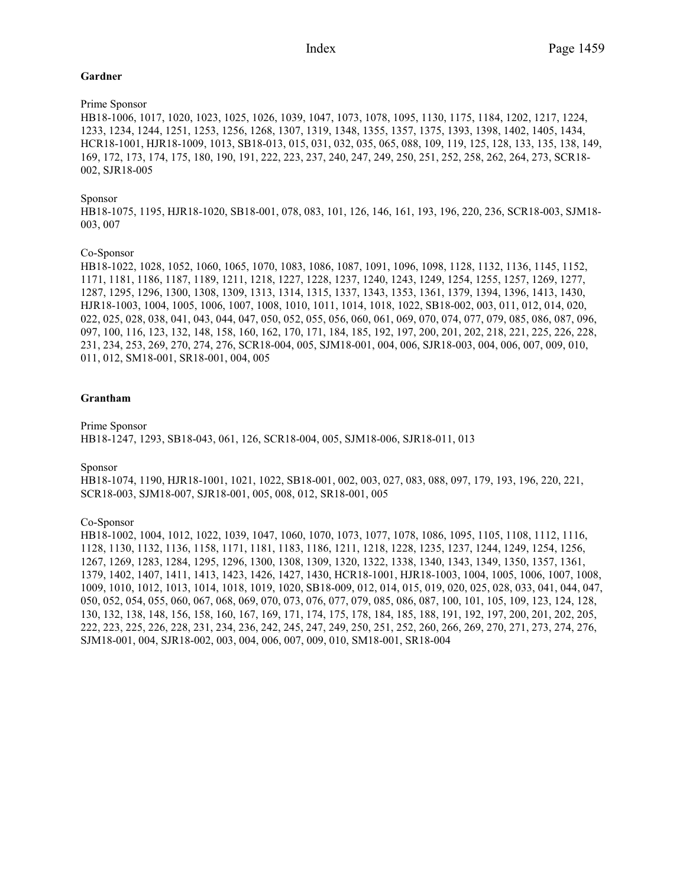# **Gardner**

# Prime Sponsor

HB18-1006, 1017, 1020, 1023, 1025, 1026, 1039, 1047, 1073, 1078, 1095, 1130, 1175, 1184, 1202, 1217, 1224, 1233, 1234, 1244, 1251, 1253, 1256, 1268, 1307, 1319, 1348, 1355, 1357, 1375, 1393, 1398, 1402, 1405, 1434, HCR18-1001, HJR18-1009, 1013, SB18-013, 015, 031, 032, 035, 065, 088, 109, 119, 125, 128, 133, 135, 138, 149, 169, 172, 173, 174, 175, 180, 190, 191, 222, 223, 237, 240, 247, 249, 250, 251, 252, 258, 262, 264, 273, SCR18- 002, SJR18-005

# Sponsor

HB18-1075, 1195, HJR18-1020, SB18-001, 078, 083, 101, 126, 146, 161, 193, 196, 220, 236, SCR18-003, SJM18- 003, 007

# Co-Sponsor

HB18-1022, 1028, 1052, 1060, 1065, 1070, 1083, 1086, 1087, 1091, 1096, 1098, 1128, 1132, 1136, 1145, 1152, 1171, 1181, 1186, 1187, 1189, 1211, 1218, 1227, 1228, 1237, 1240, 1243, 1249, 1254, 1255, 1257, 1269, 1277, 1287, 1295, 1296, 1300, 1308, 1309, 1313, 1314, 1315, 1337, 1343, 1353, 1361, 1379, 1394, 1396, 1413, 1430, HJR18-1003, 1004, 1005, 1006, 1007, 1008, 1010, 1011, 1014, 1018, 1022, SB18-002, 003, 011, 012, 014, 020, 022, 025, 028, 038, 041, 043, 044, 047, 050, 052, 055, 056, 060, 061, 069, 070, 074, 077, 079, 085, 086, 087, 096, 097, 100, 116, 123, 132, 148, 158, 160, 162, 170, 171, 184, 185, 192, 197, 200, 201, 202, 218, 221, 225, 226, 228, 231, 234, 253, 269, 270, 274, 276, SCR18-004, 005, SJM18-001, 004, 006, SJR18-003, 004, 006, 007, 009, 010, 011, 012, SM18-001, SR18-001, 004, 005

# **Grantham**

Prime Sponsor HB18-1247, 1293, SB18-043, 061, 126, SCR18-004, 005, SJM18-006, SJR18-011, 013

Sponsor

HB18-1074, 1190, HJR18-1001, 1021, 1022, SB18-001, 002, 003, 027, 083, 088, 097, 179, 193, 196, 220, 221, SCR18-003, SJM18-007, SJR18-001, 005, 008, 012, SR18-001, 005

### Co-Sponsor

HB18-1002, 1004, 1012, 1022, 1039, 1047, 1060, 1070, 1073, 1077, 1078, 1086, 1095, 1105, 1108, 1112, 1116, 1128, 1130, 1132, 1136, 1158, 1171, 1181, 1183, 1186, 1211, 1218, 1228, 1235, 1237, 1244, 1249, 1254, 1256, 1267, 1269, 1283, 1284, 1295, 1296, 1300, 1308, 1309, 1320, 1322, 1338, 1340, 1343, 1349, 1350, 1357, 1361, 1379, 1402, 1407, 1411, 1413, 1423, 1426, 1427, 1430, HCR18-1001, HJR18-1003, 1004, 1005, 1006, 1007, 1008, 1009, 1010, 1012, 1013, 1014, 1018, 1019, 1020, SB18-009, 012, 014, 015, 019, 020, 025, 028, 033, 041, 044, 047, 050, 052, 054, 055, 060, 067, 068, 069, 070, 073, 076, 077, 079, 085, 086, 087, 100, 101, 105, 109, 123, 124, 128, 130, 132, 138, 148, 156, 158, 160, 167, 169, 171, 174, 175, 178, 184, 185, 188, 191, 192, 197, 200, 201, 202, 205, 222, 223, 225, 226, 228, 231, 234, 236, 242, 245, 247, 249, 250, 251, 252, 260, 266, 269, 270, 271, 273, 274, 276, SJM18-001, 004, SJR18-002, 003, 004, 006, 007, 009, 010, SM18-001, SR18-004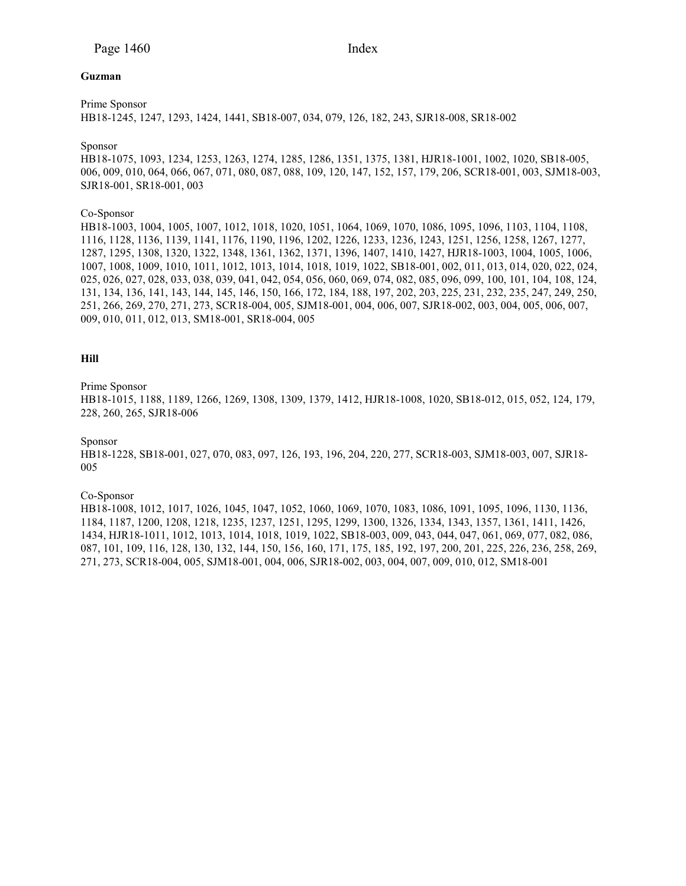## **Guzman**

Prime Sponsor

HB18-1245, 1247, 1293, 1424, 1441, SB18-007, 034, 079, 126, 182, 243, SJR18-008, SR18-002

# Sponsor

HB18-1075, 1093, 1234, 1253, 1263, 1274, 1285, 1286, 1351, 1375, 1381, HJR18-1001, 1002, 1020, SB18-005, 006, 009, 010, 064, 066, 067, 071, 080, 087, 088, 109, 120, 147, 152, 157, 179, 206, SCR18-001, 003, SJM18-003, SJR18-001, SR18-001, 003

# Co-Sponsor

HB18-1003, 1004, 1005, 1007, 1012, 1018, 1020, 1051, 1064, 1069, 1070, 1086, 1095, 1096, 1103, 1104, 1108, 1116, 1128, 1136, 1139, 1141, 1176, 1190, 1196, 1202, 1226, 1233, 1236, 1243, 1251, 1256, 1258, 1267, 1277, 1287, 1295, 1308, 1320, 1322, 1348, 1361, 1362, 1371, 1396, 1407, 1410, 1427, HJR18-1003, 1004, 1005, 1006, 1007, 1008, 1009, 1010, 1011, 1012, 1013, 1014, 1018, 1019, 1022, SB18-001, 002, 011, 013, 014, 020, 022, 024, 025, 026, 027, 028, 033, 038, 039, 041, 042, 054, 056, 060, 069, 074, 082, 085, 096, 099, 100, 101, 104, 108, 124, 131, 134, 136, 141, 143, 144, 145, 146, 150, 166, 172, 184, 188, 197, 202, 203, 225, 231, 232, 235, 247, 249, 250, 251, 266, 269, 270, 271, 273, SCR18-004, 005, SJM18-001, 004, 006, 007, SJR18-002, 003, 004, 005, 006, 007, 009, 010, 011, 012, 013, SM18-001, SR18-004, 005

# **Hill**

# Prime Sponsor

HB18-1015, 1188, 1189, 1266, 1269, 1308, 1309, 1379, 1412, HJR18-1008, 1020, SB18-012, 015, 052, 124, 179, 228, 260, 265, SJR18-006

#### Sponsor

HB18-1228, SB18-001, 027, 070, 083, 097, 126, 193, 196, 204, 220, 277, SCR18-003, SJM18-003, 007, SJR18- 005

#### Co-Sponsor

HB18-1008, 1012, 1017, 1026, 1045, 1047, 1052, 1060, 1069, 1070, 1083, 1086, 1091, 1095, 1096, 1130, 1136, 1184, 1187, 1200, 1208, 1218, 1235, 1237, 1251, 1295, 1299, 1300, 1326, 1334, 1343, 1357, 1361, 1411, 1426, 1434, HJR18-1011, 1012, 1013, 1014, 1018, 1019, 1022, SB18-003, 009, 043, 044, 047, 061, 069, 077, 082, 086, 087, 101, 109, 116, 128, 130, 132, 144, 150, 156, 160, 171, 175, 185, 192, 197, 200, 201, 225, 226, 236, 258, 269, 271, 273, SCR18-004, 005, SJM18-001, 004, 006, SJR18-002, 003, 004, 007, 009, 010, 012, SM18-001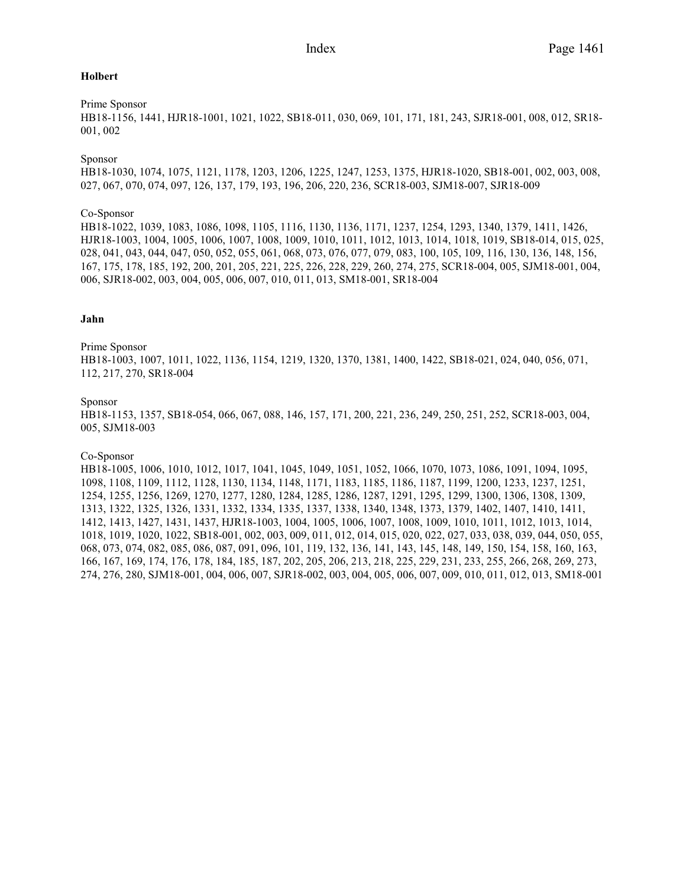# **Holbert**

# Prime Sponsor

HB18-1156, 1441, HJR18-1001, 1021, 1022, SB18-011, 030, 069, 101, 171, 181, 243, SJR18-001, 008, 012, SR18- 001, 002

# Sponsor

HB18-1030, 1074, 1075, 1121, 1178, 1203, 1206, 1225, 1247, 1253, 1375, HJR18-1020, SB18-001, 002, 003, 008, 027, 067, 070, 074, 097, 126, 137, 179, 193, 196, 206, 220, 236, SCR18-003, SJM18-007, SJR18-009

# Co-Sponsor

HB18-1022, 1039, 1083, 1086, 1098, 1105, 1116, 1130, 1136, 1171, 1237, 1254, 1293, 1340, 1379, 1411, 1426, HJR18-1003, 1004, 1005, 1006, 1007, 1008, 1009, 1010, 1011, 1012, 1013, 1014, 1018, 1019, SB18-014, 015, 025, 028, 041, 043, 044, 047, 050, 052, 055, 061, 068, 073, 076, 077, 079, 083, 100, 105, 109, 116, 130, 136, 148, 156, 167, 175, 178, 185, 192, 200, 201, 205, 221, 225, 226, 228, 229, 260, 274, 275, SCR18-004, 005, SJM18-001, 004, 006, SJR18-002, 003, 004, 005, 006, 007, 010, 011, 013, SM18-001, SR18-004

# **Jahn**

# Prime Sponsor

HB18-1003, 1007, 1011, 1022, 1136, 1154, 1219, 1320, 1370, 1381, 1400, 1422, SB18-021, 024, 040, 056, 071, 112, 217, 270, SR18-004

# Sponsor

HB18-1153, 1357, SB18-054, 066, 067, 088, 146, 157, 171, 200, 221, 236, 249, 250, 251, 252, SCR18-003, 004, 005, SJM18-003

#### Co-Sponsor

HB18-1005, 1006, 1010, 1012, 1017, 1041, 1045, 1049, 1051, 1052, 1066, 1070, 1073, 1086, 1091, 1094, 1095, 1098, 1108, 1109, 1112, 1128, 1130, 1134, 1148, 1171, 1183, 1185, 1186, 1187, 1199, 1200, 1233, 1237, 1251, 1254, 1255, 1256, 1269, 1270, 1277, 1280, 1284, 1285, 1286, 1287, 1291, 1295, 1299, 1300, 1306, 1308, 1309, 1313, 1322, 1325, 1326, 1331, 1332, 1334, 1335, 1337, 1338, 1340, 1348, 1373, 1379, 1402, 1407, 1410, 1411, 1412, 1413, 1427, 1431, 1437, HJR18-1003, 1004, 1005, 1006, 1007, 1008, 1009, 1010, 1011, 1012, 1013, 1014, 1018, 1019, 1020, 1022, SB18-001, 002, 003, 009, 011, 012, 014, 015, 020, 022, 027, 033, 038, 039, 044, 050, 055, 068, 073, 074, 082, 085, 086, 087, 091, 096, 101, 119, 132, 136, 141, 143, 145, 148, 149, 150, 154, 158, 160, 163, 166, 167, 169, 174, 176, 178, 184, 185, 187, 202, 205, 206, 213, 218, 225, 229, 231, 233, 255, 266, 268, 269, 273, 274, 276, 280, SJM18-001, 004, 006, 007, SJR18-002, 003, 004, 005, 006, 007, 009, 010, 011, 012, 013, SM18-001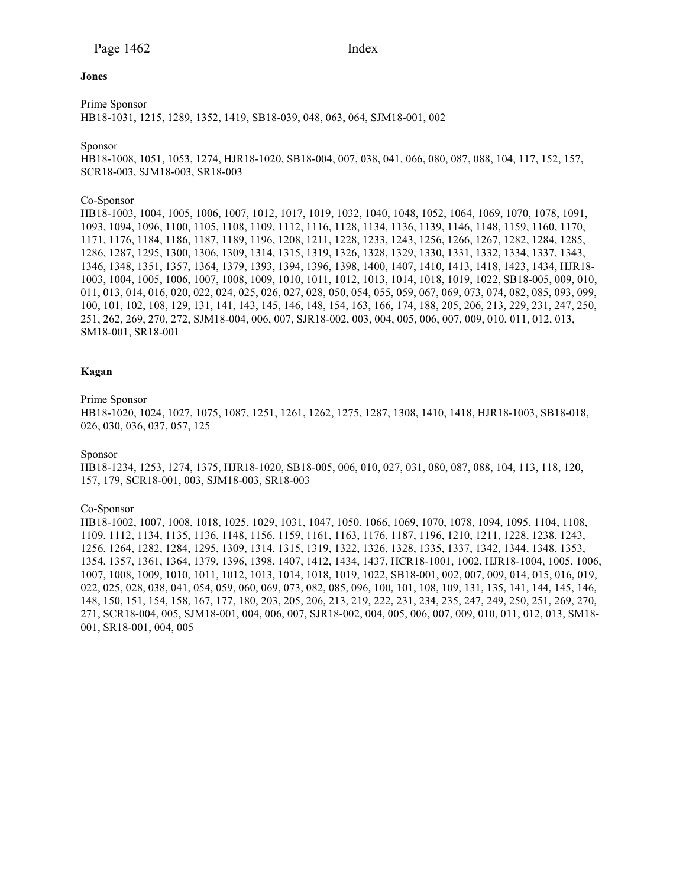#### **Jones**

Prime Sponsor HB18-1031, 1215, 1289, 1352, 1419, SB18-039, 048, 063, 064, SJM18-001, 002

Sponsor

HB18-1008, 1051, 1053, 1274, HJR18-1020, SB18-004, 007, 038, 041, 066, 080, 087, 088, 104, 117, 152, 157, SCR18-003, SJM18-003, SR18-003

## Co-Sponsor

HB18-1003, 1004, 1005, 1006, 1007, 1012, 1017, 1019, 1032, 1040, 1048, 1052, 1064, 1069, 1070, 1078, 1091, 1093, 1094, 1096, 1100, 1105, 1108, 1109, 1112, 1116, 1128, 1134, 1136, 1139, 1146, 1148, 1159, 1160, 1170, 1171, 1176, 1184, 1186, 1187, 1189, 1196, 1208, 1211, 1228, 1233, 1243, 1256, 1266, 1267, 1282, 1284, 1285, 1286, 1287, 1295, 1300, 1306, 1309, 1314, 1315, 1319, 1326, 1328, 1329, 1330, 1331, 1332, 1334, 1337, 1343, 1346, 1348, 1351, 1357, 1364, 1379, 1393, 1394, 1396, 1398, 1400, 1407, 1410, 1413, 1418, 1423, 1434, HJR18- 1003, 1004, 1005, 1006, 1007, 1008, 1009, 1010, 1011, 1012, 1013, 1014, 1018, 1019, 1022, SB18-005, 009, 010, 011, 013, 014, 016, 020, 022, 024, 025, 026, 027, 028, 050, 054, 055, 059, 067, 069, 073, 074, 082, 085, 093, 099, 100, 101, 102, 108, 129, 131, 141, 143, 145, 146, 148, 154, 163, 166, 174, 188, 205, 206, 213, 229, 231, 247, 250, 251, 262, 269, 270, 272, SJM18-004, 006, 007, SJR18-002, 003, 004, 005, 006, 007, 009, 010, 011, 012, 013, SM18-001, SR18-001

## **Kagan**

#### Prime Sponsor

HB18-1020, 1024, 1027, 1075, 1087, 1251, 1261, 1262, 1275, 1287, 1308, 1410, 1418, HJR18-1003, SB18-018, 026, 030, 036, 037, 057, 125

#### Sponsor

HB18-1234, 1253, 1274, 1375, HJR18-1020, SB18-005, 006, 010, 027, 031, 080, 087, 088, 104, 113, 118, 120, 157, 179, SCR18-001, 003, SJM18-003, SR18-003

#### Co-Sponsor

HB18-1002, 1007, 1008, 1018, 1025, 1029, 1031, 1047, 1050, 1066, 1069, 1070, 1078, 1094, 1095, 1104, 1108, 1109, 1112, 1134, 1135, 1136, 1148, 1156, 1159, 1161, 1163, 1176, 1187, 1196, 1210, 1211, 1228, 1238, 1243, 1256, 1264, 1282, 1284, 1295, 1309, 1314, 1315, 1319, 1322, 1326, 1328, 1335, 1337, 1342, 1344, 1348, 1353, 1354, 1357, 1361, 1364, 1379, 1396, 1398, 1407, 1412, 1434, 1437, HCR18-1001, 1002, HJR18-1004, 1005, 1006, 1007, 1008, 1009, 1010, 1011, 1012, 1013, 1014, 1018, 1019, 1022, SB18-001, 002, 007, 009, 014, 015, 016, 019, 022, 025, 028, 038, 041, 054, 059, 060, 069, 073, 082, 085, 096, 100, 101, 108, 109, 131, 135, 141, 144, 145, 146, 148, 150, 151, 154, 158, 167, 177, 180, 203, 205, 206, 213, 219, 222, 231, 234, 235, 247, 249, 250, 251, 269, 270, 271, SCR18-004, 005, SJM18-001, 004, 006, 007, SJR18-002, 004, 005, 006, 007, 009, 010, 011, 012, 013, SM18- 001, SR18-001, 004, 005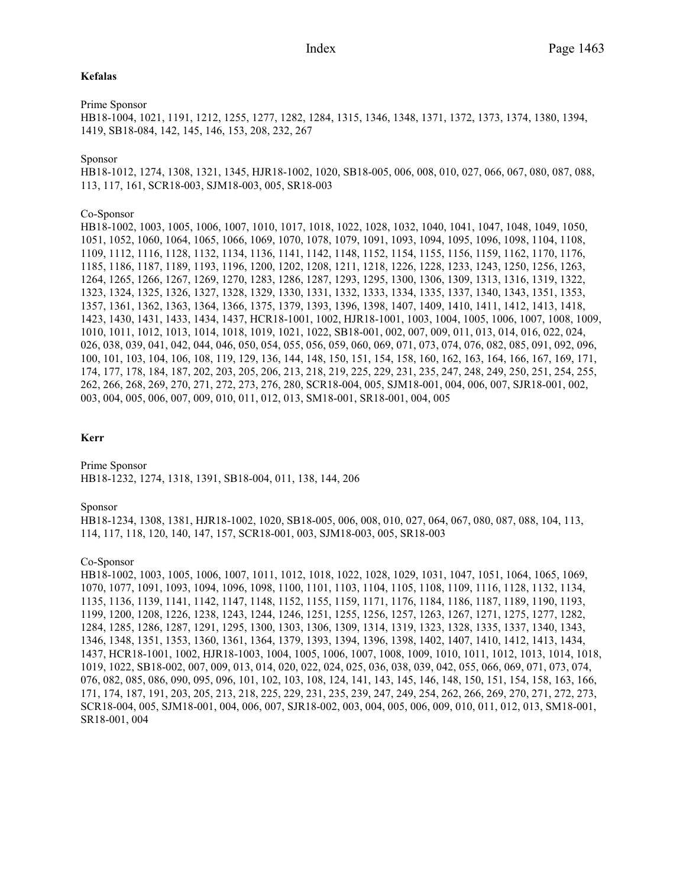## **Kefalas**

Prime Sponsor HB18-1004, 1021, 1191, 1212, 1255, 1277, 1282, 1284, 1315, 1346, 1348, 1371, 1372, 1373, 1374, 1380, 1394, 1419, SB18-084, 142, 145, 146, 153, 208, 232, 267

## Sponsor

HB18-1012, 1274, 1308, 1321, 1345, HJR18-1002, 1020, SB18-005, 006, 008, 010, 027, 066, 067, 080, 087, 088, 113, 117, 161, SCR18-003, SJM18-003, 005, SR18-003

## Co-Sponsor

HB18-1002, 1003, 1005, 1006, 1007, 1010, 1017, 1018, 1022, 1028, 1032, 1040, 1041, 1047, 1048, 1049, 1050, 1051, 1052, 1060, 1064, 1065, 1066, 1069, 1070, 1078, 1079, 1091, 1093, 1094, 1095, 1096, 1098, 1104, 1108, 1109, 1112, 1116, 1128, 1132, 1134, 1136, 1141, 1142, 1148, 1152, 1154, 1155, 1156, 1159, 1162, 1170, 1176, 1185, 1186, 1187, 1189, 1193, 1196, 1200, 1202, 1208, 1211, 1218, 1226, 1228, 1233, 1243, 1250, 1256, 1263, 1264, 1265, 1266, 1267, 1269, 1270, 1283, 1286, 1287, 1293, 1295, 1300, 1306, 1309, 1313, 1316, 1319, 1322, 1323, 1324, 1325, 1326, 1327, 1328, 1329, 1330, 1331, 1332, 1333, 1334, 1335, 1337, 1340, 1343, 1351, 1353, 1357, 1361, 1362, 1363, 1364, 1366, 1375, 1379, 1393, 1396, 1398, 1407, 1409, 1410, 1411, 1412, 1413, 1418, 1423, 1430, 1431, 1433, 1434, 1437, HCR18-1001, 1002, HJR18-1001, 1003, 1004, 1005, 1006, 1007, 1008, 1009, 1010, 1011, 1012, 1013, 1014, 1018, 1019, 1021, 1022, SB18-001, 002, 007, 009, 011, 013, 014, 016, 022, 024, 026, 038, 039, 041, 042, 044, 046, 050, 054, 055, 056, 059, 060, 069, 071, 073, 074, 076, 082, 085, 091, 092, 096, 100, 101, 103, 104, 106, 108, 119, 129, 136, 144, 148, 150, 151, 154, 158, 160, 162, 163, 164, 166, 167, 169, 171, 174, 177, 178, 184, 187, 202, 203, 205, 206, 213, 218, 219, 225, 229, 231, 235, 247, 248, 249, 250, 251, 254, 255, 262, 266, 268, 269, 270, 271, 272, 273, 276, 280, SCR18-004, 005, SJM18-001, 004, 006, 007, SJR18-001, 002, 003, 004, 005, 006, 007, 009, 010, 011, 012, 013, SM18-001, SR18-001, 004, 005

# **Kerr**

Prime Sponsor HB18-1232, 1274, 1318, 1391, SB18-004, 011, 138, 144, 206

### Sponsor

HB18-1234, 1308, 1381, HJR18-1002, 1020, SB18-005, 006, 008, 010, 027, 064, 067, 080, 087, 088, 104, 113, 114, 117, 118, 120, 140, 147, 157, SCR18-001, 003, SJM18-003, 005, SR18-003

# Co-Sponsor

HB18-1002, 1003, 1005, 1006, 1007, 1011, 1012, 1018, 1022, 1028, 1029, 1031, 1047, 1051, 1064, 1065, 1069, 1070, 1077, 1091, 1093, 1094, 1096, 1098, 1100, 1101, 1103, 1104, 1105, 1108, 1109, 1116, 1128, 1132, 1134, 1135, 1136, 1139, 1141, 1142, 1147, 1148, 1152, 1155, 1159, 1171, 1176, 1184, 1186, 1187, 1189, 1190, 1193, 1199, 1200, 1208, 1226, 1238, 1243, 1244, 1246, 1251, 1255, 1256, 1257, 1263, 1267, 1271, 1275, 1277, 1282, 1284, 1285, 1286, 1287, 1291, 1295, 1300, 1303, 1306, 1309, 1314, 1319, 1323, 1328, 1335, 1337, 1340, 1343, 1346, 1348, 1351, 1353, 1360, 1361, 1364, 1379, 1393, 1394, 1396, 1398, 1402, 1407, 1410, 1412, 1413, 1434, 1437, HCR18-1001, 1002, HJR18-1003, 1004, 1005, 1006, 1007, 1008, 1009, 1010, 1011, 1012, 1013, 1014, 1018, 1019, 1022, SB18-002, 007, 009, 013, 014, 020, 022, 024, 025, 036, 038, 039, 042, 055, 066, 069, 071, 073, 074, 076, 082, 085, 086, 090, 095, 096, 101, 102, 103, 108, 124, 141, 143, 145, 146, 148, 150, 151, 154, 158, 163, 166, 171, 174, 187, 191, 203, 205, 213, 218, 225, 229, 231, 235, 239, 247, 249, 254, 262, 266, 269, 270, 271, 272, 273, SCR18-004, 005, SJM18-001, 004, 006, 007, SJR18-002, 003, 004, 005, 006, 009, 010, 011, 012, 013, SM18-001, SR18-001, 004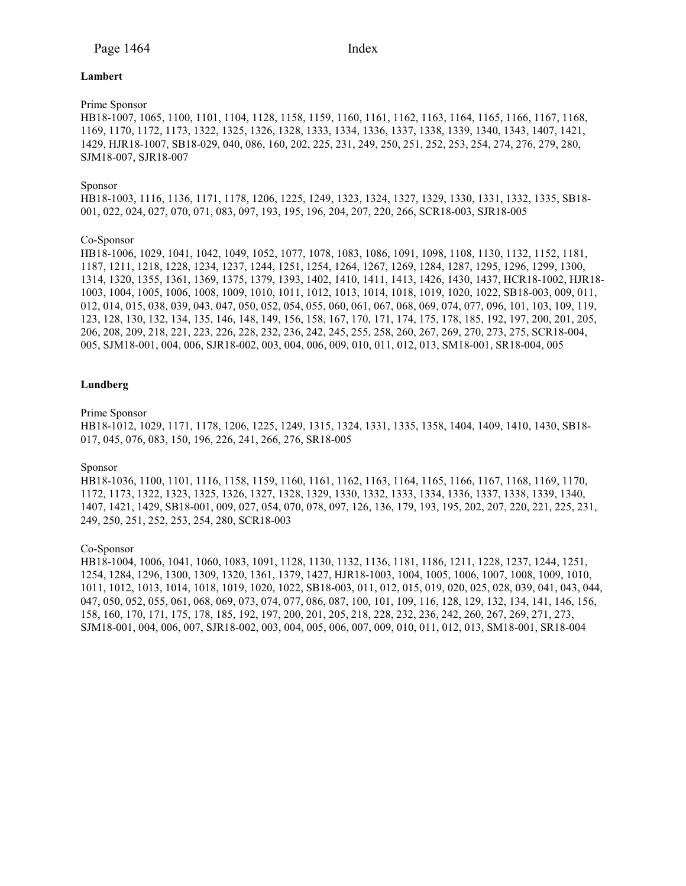# **Lambert**

# Prime Sponsor

HB18-1007, 1065, 1100, 1101, 1104, 1128, 1158, 1159, 1160, 1161, 1162, 1163, 1164, 1165, 1166, 1167, 1168, 1169, 1170, 1172, 1173, 1322, 1325, 1326, 1328, 1333, 1334, 1336, 1337, 1338, 1339, 1340, 1343, 1407, 1421, 1429, HJR18-1007, SB18-029, 040, 086, 160, 202, 225, 231, 249, 250, 251, 252, 253, 254, 274, 276, 279, 280, SJM18-007, SJR18-007

# Sponsor

HB18-1003, 1116, 1136, 1171, 1178, 1206, 1225, 1249, 1323, 1324, 1327, 1329, 1330, 1331, 1332, 1335, SB18- 001, 022, 024, 027, 070, 071, 083, 097, 193, 195, 196, 204, 207, 220, 266, SCR18-003, SJR18-005

# Co-Sponsor

HB18-1006, 1029, 1041, 1042, 1049, 1052, 1077, 1078, 1083, 1086, 1091, 1098, 1108, 1130, 1132, 1152, 1181, 1187, 1211, 1218, 1228, 1234, 1237, 1244, 1251, 1254, 1264, 1267, 1269, 1284, 1287, 1295, 1296, 1299, 1300, 1314, 1320, 1355, 1361, 1369, 1375, 1379, 1393, 1402, 1410, 1411, 1413, 1426, 1430, 1437, HCR18-1002, HJR18- 1003, 1004, 1005, 1006, 1008, 1009, 1010, 1011, 1012, 1013, 1014, 1018, 1019, 1020, 1022, SB18-003, 009, 011, 012, 014, 015, 038, 039, 043, 047, 050, 052, 054, 055, 060, 061, 067, 068, 069, 074, 077, 096, 101, 103, 109, 119, 123, 128, 130, 132, 134, 135, 146, 148, 149, 156, 158, 167, 170, 171, 174, 175, 178, 185, 192, 197, 200, 201, 205, 206, 208, 209, 218, 221, 223, 226, 228, 232, 236, 242, 245, 255, 258, 260, 267, 269, 270, 273, 275, SCR18-004, 005, SJM18-001, 004, 006, SJR18-002, 003, 004, 006, 009, 010, 011, 012, 013, SM18-001, SR18-004, 005

# **Lundberg**

#### Prime Sponsor

HB18-1012, 1029, 1171, 1178, 1206, 1225, 1249, 1315, 1324, 1331, 1335, 1358, 1404, 1409, 1410, 1430, SB18- 017, 045, 076, 083, 150, 196, 226, 241, 266, 276, SR18-005

#### Sponsor

HB18-1036, 1100, 1101, 1116, 1158, 1159, 1160, 1161, 1162, 1163, 1164, 1165, 1166, 1167, 1168, 1169, 1170, 1172, 1173, 1322, 1323, 1325, 1326, 1327, 1328, 1329, 1330, 1332, 1333, 1334, 1336, 1337, 1338, 1339, 1340, 1407, 1421, 1429, SB18-001, 009, 027, 054, 070, 078, 097, 126, 136, 179, 193, 195, 202, 207, 220, 221, 225, 231, 249, 250, 251, 252, 253, 254, 280, SCR18-003

# Co-Sponsor

HB18-1004, 1006, 1041, 1060, 1083, 1091, 1128, 1130, 1132, 1136, 1181, 1186, 1211, 1228, 1237, 1244, 1251, 1254, 1284, 1296, 1300, 1309, 1320, 1361, 1379, 1427, HJR18-1003, 1004, 1005, 1006, 1007, 1008, 1009, 1010, 1011, 1012, 1013, 1014, 1018, 1019, 1020, 1022, SB18-003, 011, 012, 015, 019, 020, 025, 028, 039, 041, 043, 044, 047, 050, 052, 055, 061, 068, 069, 073, 074, 077, 086, 087, 100, 101, 109, 116, 128, 129, 132, 134, 141, 146, 156, 158, 160, 170, 171, 175, 178, 185, 192, 197, 200, 201, 205, 218, 228, 232, 236, 242, 260, 267, 269, 271, 273, SJM18-001, 004, 006, 007, SJR18-002, 003, 004, 005, 006, 007, 009, 010, 011, 012, 013, SM18-001, SR18-004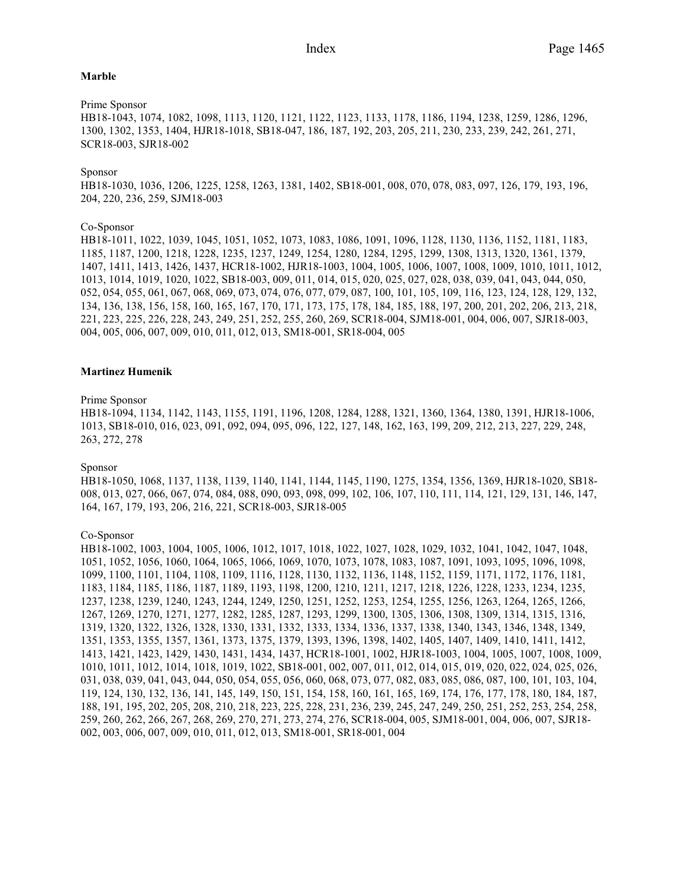#### **Marble**

Prime Sponsor HB18-1043, 1074, 1082, 1098, 1113, 1120, 1121, 1122, 1123, 1133, 1178, 1186, 1194, 1238, 1259, 1286, 1296, 1300, 1302, 1353, 1404, HJR18-1018, SB18-047, 186, 187, 192, 203, 205, 211, 230, 233, 239, 242, 261, 271, SCR18-003, SJR18-002

# Sponsor

HB18-1030, 1036, 1206, 1225, 1258, 1263, 1381, 1402, SB18-001, 008, 070, 078, 083, 097, 126, 179, 193, 196, 204, 220, 236, 259, SJM18-003

# Co-Sponsor

HB18-1011, 1022, 1039, 1045, 1051, 1052, 1073, 1083, 1086, 1091, 1096, 1128, 1130, 1136, 1152, 1181, 1183, 1185, 1187, 1200, 1218, 1228, 1235, 1237, 1249, 1254, 1280, 1284, 1295, 1299, 1308, 1313, 1320, 1361, 1379, 1407, 1411, 1413, 1426, 1437, HCR18-1002, HJR18-1003, 1004, 1005, 1006, 1007, 1008, 1009, 1010, 1011, 1012, 1013, 1014, 1019, 1020, 1022, SB18-003, 009, 011, 014, 015, 020, 025, 027, 028, 038, 039, 041, 043, 044, 050, 052, 054, 055, 061, 067, 068, 069, 073, 074, 076, 077, 079, 087, 100, 101, 105, 109, 116, 123, 124, 128, 129, 132, 134, 136, 138, 156, 158, 160, 165, 167, 170, 171, 173, 175, 178, 184, 185, 188, 197, 200, 201, 202, 206, 213, 218, 221, 223, 225, 226, 228, 243, 249, 251, 252, 255, 260, 269, SCR18-004, SJM18-001, 004, 006, 007, SJR18-003, 004, 005, 006, 007, 009, 010, 011, 012, 013, SM18-001, SR18-004, 005

#### **Martinez Humenik**

# Prime Sponsor

HB18-1094, 1134, 1142, 1143, 1155, 1191, 1196, 1208, 1284, 1288, 1321, 1360, 1364, 1380, 1391, HJR18-1006, 1013, SB18-010, 016, 023, 091, 092, 094, 095, 096, 122, 127, 148, 162, 163, 199, 209, 212, 213, 227, 229, 248, 263, 272, 278

#### Sponsor

HB18-1050, 1068, 1137, 1138, 1139, 1140, 1141, 1144, 1145, 1190, 1275, 1354, 1356, 1369, HJR18-1020, SB18- 008, 013, 027, 066, 067, 074, 084, 088, 090, 093, 098, 099, 102, 106, 107, 110, 111, 114, 121, 129, 131, 146, 147, 164, 167, 179, 193, 206, 216, 221, SCR18-003, SJR18-005

Co-Sponsor

HB18-1002, 1003, 1004, 1005, 1006, 1012, 1017, 1018, 1022, 1027, 1028, 1029, 1032, 1041, 1042, 1047, 1048, 1051, 1052, 1056, 1060, 1064, 1065, 1066, 1069, 1070, 1073, 1078, 1083, 1087, 1091, 1093, 1095, 1096, 1098, 1099, 1100, 1101, 1104, 1108, 1109, 1116, 1128, 1130, 1132, 1136, 1148, 1152, 1159, 1171, 1172, 1176, 1181, 1183, 1184, 1185, 1186, 1187, 1189, 1193, 1198, 1200, 1210, 1211, 1217, 1218, 1226, 1228, 1233, 1234, 1235, 1237, 1238, 1239, 1240, 1243, 1244, 1249, 1250, 1251, 1252, 1253, 1254, 1255, 1256, 1263, 1264, 1265, 1266, 1267, 1269, 1270, 1271, 1277, 1282, 1285, 1287, 1293, 1299, 1300, 1305, 1306, 1308, 1309, 1314, 1315, 1316, 1319, 1320, 1322, 1326, 1328, 1330, 1331, 1332, 1333, 1334, 1336, 1337, 1338, 1340, 1343, 1346, 1348, 1349, 1351, 1353, 1355, 1357, 1361, 1373, 1375, 1379, 1393, 1396, 1398, 1402, 1405, 1407, 1409, 1410, 1411, 1412, 1413, 1421, 1423, 1429, 1430, 1431, 1434, 1437, HCR18-1001, 1002, HJR18-1003, 1004, 1005, 1007, 1008, 1009, 1010, 1011, 1012, 1014, 1018, 1019, 1022, SB18-001, 002, 007, 011, 012, 014, 015, 019, 020, 022, 024, 025, 026, 031, 038, 039, 041, 043, 044, 050, 054, 055, 056, 060, 068, 073, 077, 082, 083, 085, 086, 087, 100, 101, 103, 104, 119, 124, 130, 132, 136, 141, 145, 149, 150, 151, 154, 158, 160, 161, 165, 169, 174, 176, 177, 178, 180, 184, 187, 188, 191, 195, 202, 205, 208, 210, 218, 223, 225, 228, 231, 236, 239, 245, 247, 249, 250, 251, 252, 253, 254, 258, 259, 260, 262, 266, 267, 268, 269, 270, 271, 273, 274, 276, SCR18-004, 005, SJM18-001, 004, 006, 007, SJR18- 002, 003, 006, 007, 009, 010, 011, 012, 013, SM18-001, SR18-001, 004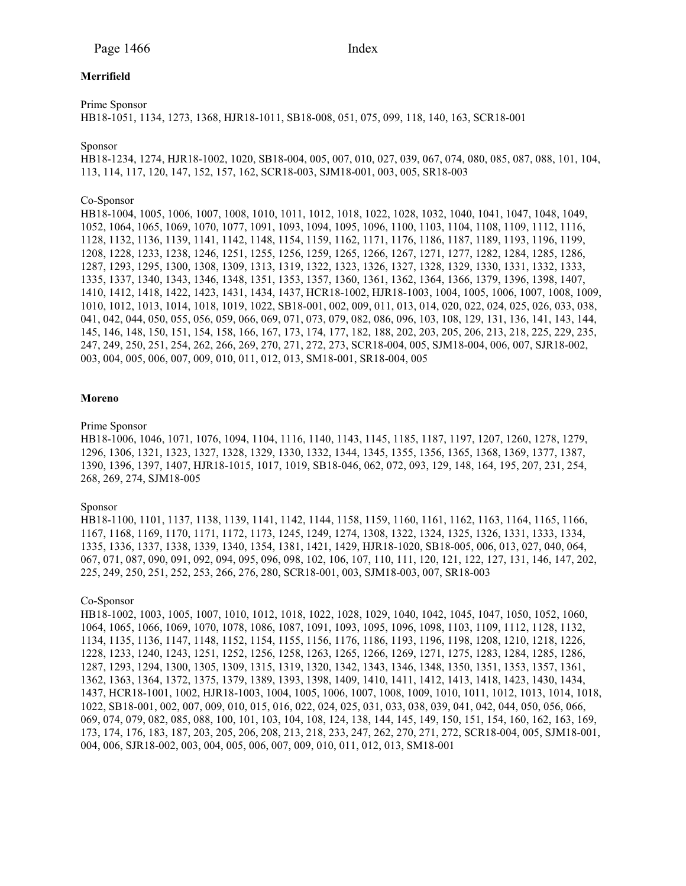# **Merrifield**

Prime Sponsor

HB18-1051, 1134, 1273, 1368, HJR18-1011, SB18-008, 051, 075, 099, 118, 140, 163, SCR18-001

Sponsor

HB18-1234, 1274, HJR18-1002, 1020, SB18-004, 005, 007, 010, 027, 039, 067, 074, 080, 085, 087, 088, 101, 104, 113, 114, 117, 120, 147, 152, 157, 162, SCR18-003, SJM18-001, 003, 005, SR18-003

# Co-Sponsor

HB18-1004, 1005, 1006, 1007, 1008, 1010, 1011, 1012, 1018, 1022, 1028, 1032, 1040, 1041, 1047, 1048, 1049, 1052, 1064, 1065, 1069, 1070, 1077, 1091, 1093, 1094, 1095, 1096, 1100, 1103, 1104, 1108, 1109, 1112, 1116, 1128, 1132, 1136, 1139, 1141, 1142, 1148, 1154, 1159, 1162, 1171, 1176, 1186, 1187, 1189, 1193, 1196, 1199, 1208, 1228, 1233, 1238, 1246, 1251, 1255, 1256, 1259, 1265, 1266, 1267, 1271, 1277, 1282, 1284, 1285, 1286, 1287, 1293, 1295, 1300, 1308, 1309, 1313, 1319, 1322, 1323, 1326, 1327, 1328, 1329, 1330, 1331, 1332, 1333, 1335, 1337, 1340, 1343, 1346, 1348, 1351, 1353, 1357, 1360, 1361, 1362, 1364, 1366, 1379, 1396, 1398, 1407, 1410, 1412, 1418, 1422, 1423, 1431, 1434, 1437, HCR18-1002, HJR18-1003, 1004, 1005, 1006, 1007, 1008, 1009, 1010, 1012, 1013, 1014, 1018, 1019, 1022, SB18-001, 002, 009, 011, 013, 014, 020, 022, 024, 025, 026, 033, 038, 041, 042, 044, 050, 055, 056, 059, 066, 069, 071, 073, 079, 082, 086, 096, 103, 108, 129, 131, 136, 141, 143, 144, 145, 146, 148, 150, 151, 154, 158, 166, 167, 173, 174, 177, 182, 188, 202, 203, 205, 206, 213, 218, 225, 229, 235, 247, 249, 250, 251, 254, 262, 266, 269, 270, 271, 272, 273, SCR18-004, 005, SJM18-004, 006, 007, SJR18-002, 003, 004, 005, 006, 007, 009, 010, 011, 012, 013, SM18-001, SR18-004, 005

#### **Moreno**

# Prime Sponsor

HB18-1006, 1046, 1071, 1076, 1094, 1104, 1116, 1140, 1143, 1145, 1185, 1187, 1197, 1207, 1260, 1278, 1279, 1296, 1306, 1321, 1323, 1327, 1328, 1329, 1330, 1332, 1344, 1345, 1355, 1356, 1365, 1368, 1369, 1377, 1387, 1390, 1396, 1397, 1407, HJR18-1015, 1017, 1019, SB18-046, 062, 072, 093, 129, 148, 164, 195, 207, 231, 254, 268, 269, 274, SJM18-005

#### Sponsor

HB18-1100, 1101, 1137, 1138, 1139, 1141, 1142, 1144, 1158, 1159, 1160, 1161, 1162, 1163, 1164, 1165, 1166, 1167, 1168, 1169, 1170, 1171, 1172, 1173, 1245, 1249, 1274, 1308, 1322, 1324, 1325, 1326, 1331, 1333, 1334, 1335, 1336, 1337, 1338, 1339, 1340, 1354, 1381, 1421, 1429, HJR18-1020, SB18-005, 006, 013, 027, 040, 064, 067, 071, 087, 090, 091, 092, 094, 095, 096, 098, 102, 106, 107, 110, 111, 120, 121, 122, 127, 131, 146, 147, 202, 225, 249, 250, 251, 252, 253, 266, 276, 280, SCR18-001, 003, SJM18-003, 007, SR18-003

#### Co-Sponsor

HB18-1002, 1003, 1005, 1007, 1010, 1012, 1018, 1022, 1028, 1029, 1040, 1042, 1045, 1047, 1050, 1052, 1060, 1064, 1065, 1066, 1069, 1070, 1078, 1086, 1087, 1091, 1093, 1095, 1096, 1098, 1103, 1109, 1112, 1128, 1132, 1134, 1135, 1136, 1147, 1148, 1152, 1154, 1155, 1156, 1176, 1186, 1193, 1196, 1198, 1208, 1210, 1218, 1226, 1228, 1233, 1240, 1243, 1251, 1252, 1256, 1258, 1263, 1265, 1266, 1269, 1271, 1275, 1283, 1284, 1285, 1286, 1287, 1293, 1294, 1300, 1305, 1309, 1315, 1319, 1320, 1342, 1343, 1346, 1348, 1350, 1351, 1353, 1357, 1361, 1362, 1363, 1364, 1372, 1375, 1379, 1389, 1393, 1398, 1409, 1410, 1411, 1412, 1413, 1418, 1423, 1430, 1434, 1437, HCR18-1001, 1002, HJR18-1003, 1004, 1005, 1006, 1007, 1008, 1009, 1010, 1011, 1012, 1013, 1014, 1018, 1022, SB18-001, 002, 007, 009, 010, 015, 016, 022, 024, 025, 031, 033, 038, 039, 041, 042, 044, 050, 056, 066, 069, 074, 079, 082, 085, 088, 100, 101, 103, 104, 108, 124, 138, 144, 145, 149, 150, 151, 154, 160, 162, 163, 169, 173, 174, 176, 183, 187, 203, 205, 206, 208, 213, 218, 233, 247, 262, 270, 271, 272, SCR18-004, 005, SJM18-001, 004, 006, SJR18-002, 003, 004, 005, 006, 007, 009, 010, 011, 012, 013, SM18-001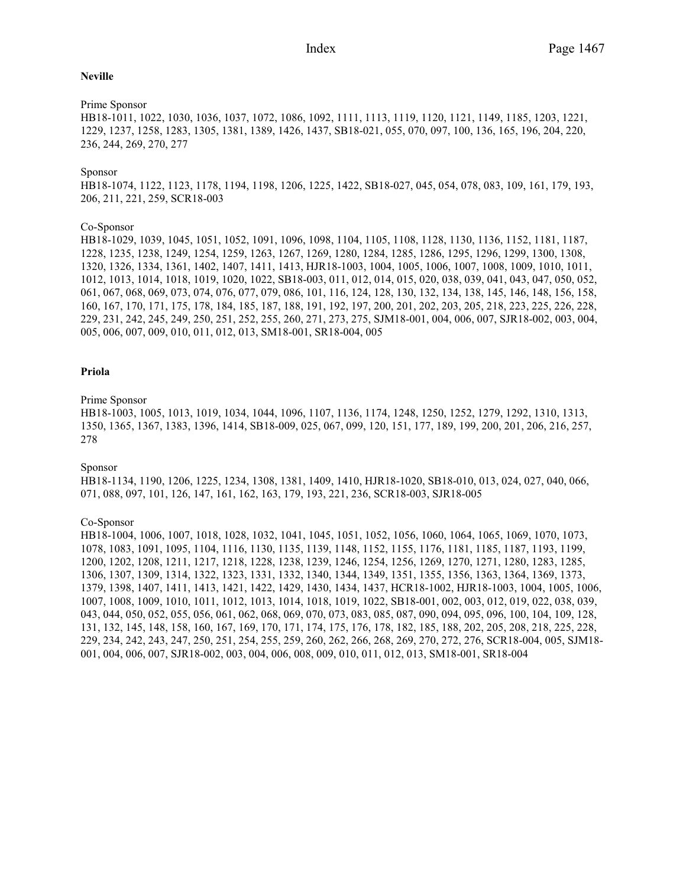# **Neville**

# Prime Sponsor

HB18-1011, 1022, 1030, 1036, 1037, 1072, 1086, 1092, 1111, 1113, 1119, 1120, 1121, 1149, 1185, 1203, 1221, 1229, 1237, 1258, 1283, 1305, 1381, 1389, 1426, 1437, SB18-021, 055, 070, 097, 100, 136, 165, 196, 204, 220, 236, 244, 269, 270, 277

# Sponsor

HB18-1074, 1122, 1123, 1178, 1194, 1198, 1206, 1225, 1422, SB18-027, 045, 054, 078, 083, 109, 161, 179, 193, 206, 211, 221, 259, SCR18-003

## Co-Sponsor

HB18-1029, 1039, 1045, 1051, 1052, 1091, 1096, 1098, 1104, 1105, 1108, 1128, 1130, 1136, 1152, 1181, 1187, 1228, 1235, 1238, 1249, 1254, 1259, 1263, 1267, 1269, 1280, 1284, 1285, 1286, 1295, 1296, 1299, 1300, 1308, 1320, 1326, 1334, 1361, 1402, 1407, 1411, 1413, HJR18-1003, 1004, 1005, 1006, 1007, 1008, 1009, 1010, 1011, 1012, 1013, 1014, 1018, 1019, 1020, 1022, SB18-003, 011, 012, 014, 015, 020, 038, 039, 041, 043, 047, 050, 052, 061, 067, 068, 069, 073, 074, 076, 077, 079, 086, 101, 116, 124, 128, 130, 132, 134, 138, 145, 146, 148, 156, 158, 160, 167, 170, 171, 175, 178, 184, 185, 187, 188, 191, 192, 197, 200, 201, 202, 203, 205, 218, 223, 225, 226, 228, 229, 231, 242, 245, 249, 250, 251, 252, 255, 260, 271, 273, 275, SJM18-001, 004, 006, 007, SJR18-002, 003, 004, 005, 006, 007, 009, 010, 011, 012, 013, SM18-001, SR18-004, 005

#### **Priola**

## Prime Sponsor

HB18-1003, 1005, 1013, 1019, 1034, 1044, 1096, 1107, 1136, 1174, 1248, 1250, 1252, 1279, 1292, 1310, 1313, 1350, 1365, 1367, 1383, 1396, 1414, SB18-009, 025, 067, 099, 120, 151, 177, 189, 199, 200, 201, 206, 216, 257, 278

## Sponsor

HB18-1134, 1190, 1206, 1225, 1234, 1308, 1381, 1409, 1410, HJR18-1020, SB18-010, 013, 024, 027, 040, 066, 071, 088, 097, 101, 126, 147, 161, 162, 163, 179, 193, 221, 236, SCR18-003, SJR18-005

### Co-Sponsor

HB18-1004, 1006, 1007, 1018, 1028, 1032, 1041, 1045, 1051, 1052, 1056, 1060, 1064, 1065, 1069, 1070, 1073, 1078, 1083, 1091, 1095, 1104, 1116, 1130, 1135, 1139, 1148, 1152, 1155, 1176, 1181, 1185, 1187, 1193, 1199, 1200, 1202, 1208, 1211, 1217, 1218, 1228, 1238, 1239, 1246, 1254, 1256, 1269, 1270, 1271, 1280, 1283, 1285, 1306, 1307, 1309, 1314, 1322, 1323, 1331, 1332, 1340, 1344, 1349, 1351, 1355, 1356, 1363, 1364, 1369, 1373, 1379, 1398, 1407, 1411, 1413, 1421, 1422, 1429, 1430, 1434, 1437, HCR18-1002, HJR18-1003, 1004, 1005, 1006, 1007, 1008, 1009, 1010, 1011, 1012, 1013, 1014, 1018, 1019, 1022, SB18-001, 002, 003, 012, 019, 022, 038, 039, 043, 044, 050, 052, 055, 056, 061, 062, 068, 069, 070, 073, 083, 085, 087, 090, 094, 095, 096, 100, 104, 109, 128, 131, 132, 145, 148, 158, 160, 167, 169, 170, 171, 174, 175, 176, 178, 182, 185, 188, 202, 205, 208, 218, 225, 228, 229, 234, 242, 243, 247, 250, 251, 254, 255, 259, 260, 262, 266, 268, 269, 270, 272, 276, SCR18-004, 005, SJM18- 001, 004, 006, 007, SJR18-002, 003, 004, 006, 008, 009, 010, 011, 012, 013, SM18-001, SR18-004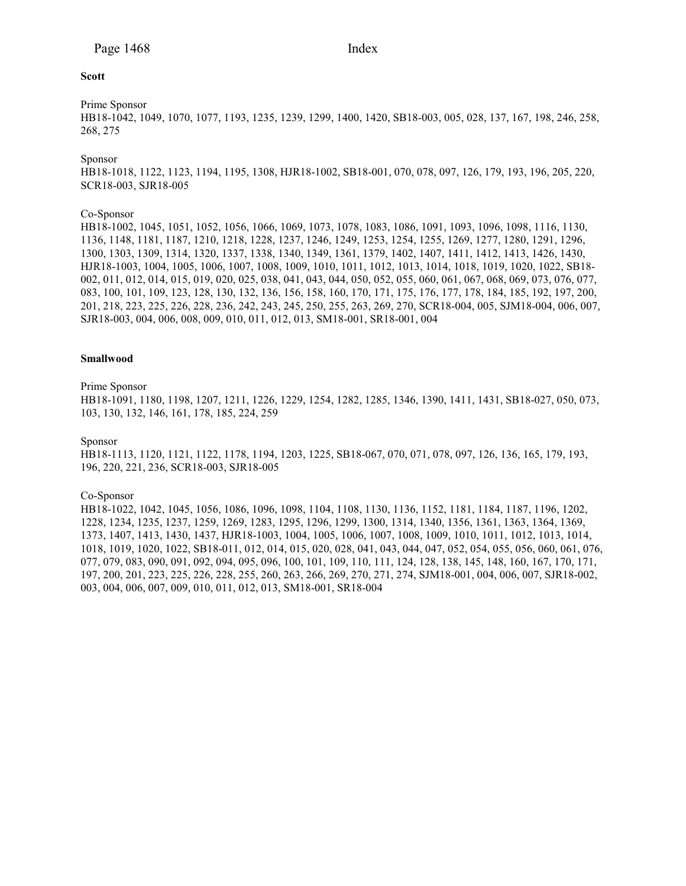# **Scott**

Prime Sponsor

HB18-1042, 1049, 1070, 1077, 1193, 1235, 1239, 1299, 1400, 1420, SB18-003, 005, 028, 137, 167, 198, 246, 258, 268, 275

Sponsor

HB18-1018, 1122, 1123, 1194, 1195, 1308, HJR18-1002, SB18-001, 070, 078, 097, 126, 179, 193, 196, 205, 220, SCR18-003, SJR18-005

# Co-Sponsor

HB18-1002, 1045, 1051, 1052, 1056, 1066, 1069, 1073, 1078, 1083, 1086, 1091, 1093, 1096, 1098, 1116, 1130, 1136, 1148, 1181, 1187, 1210, 1218, 1228, 1237, 1246, 1249, 1253, 1254, 1255, 1269, 1277, 1280, 1291, 1296, 1300, 1303, 1309, 1314, 1320, 1337, 1338, 1340, 1349, 1361, 1379, 1402, 1407, 1411, 1412, 1413, 1426, 1430, HJR18-1003, 1004, 1005, 1006, 1007, 1008, 1009, 1010, 1011, 1012, 1013, 1014, 1018, 1019, 1020, 1022, SB18- 002, 011, 012, 014, 015, 019, 020, 025, 038, 041, 043, 044, 050, 052, 055, 060, 061, 067, 068, 069, 073, 076, 077, 083, 100, 101, 109, 123, 128, 130, 132, 136, 156, 158, 160, 170, 171, 175, 176, 177, 178, 184, 185, 192, 197, 200, 201, 218, 223, 225, 226, 228, 236, 242, 243, 245, 250, 255, 263, 269, 270, SCR18-004, 005, SJM18-004, 006, 007, SJR18-003, 004, 006, 008, 009, 010, 011, 012, 013, SM18-001, SR18-001, 004

# **Smallwood**

#### Prime Sponsor

HB18-1091, 1180, 1198, 1207, 1211, 1226, 1229, 1254, 1282, 1285, 1346, 1390, 1411, 1431, SB18-027, 050, 073, 103, 130, 132, 146, 161, 178, 185, 224, 259

# Sponsor

HB18-1113, 1120, 1121, 1122, 1178, 1194, 1203, 1225, SB18-067, 070, 071, 078, 097, 126, 136, 165, 179, 193, 196, 220, 221, 236, SCR18-003, SJR18-005

#### Co-Sponsor

HB18-1022, 1042, 1045, 1056, 1086, 1096, 1098, 1104, 1108, 1130, 1136, 1152, 1181, 1184, 1187, 1196, 1202, 1228, 1234, 1235, 1237, 1259, 1269, 1283, 1295, 1296, 1299, 1300, 1314, 1340, 1356, 1361, 1363, 1364, 1369, 1373, 1407, 1413, 1430, 1437, HJR18-1003, 1004, 1005, 1006, 1007, 1008, 1009, 1010, 1011, 1012, 1013, 1014, 1018, 1019, 1020, 1022, SB18-011, 012, 014, 015, 020, 028, 041, 043, 044, 047, 052, 054, 055, 056, 060, 061, 076, 077, 079, 083, 090, 091, 092, 094, 095, 096, 100, 101, 109, 110, 111, 124, 128, 138, 145, 148, 160, 167, 170, 171, 197, 200, 201, 223, 225, 226, 228, 255, 260, 263, 266, 269, 270, 271, 274, SJM18-001, 004, 006, 007, SJR18-002, 003, 004, 006, 007, 009, 010, 011, 012, 013, SM18-001, SR18-004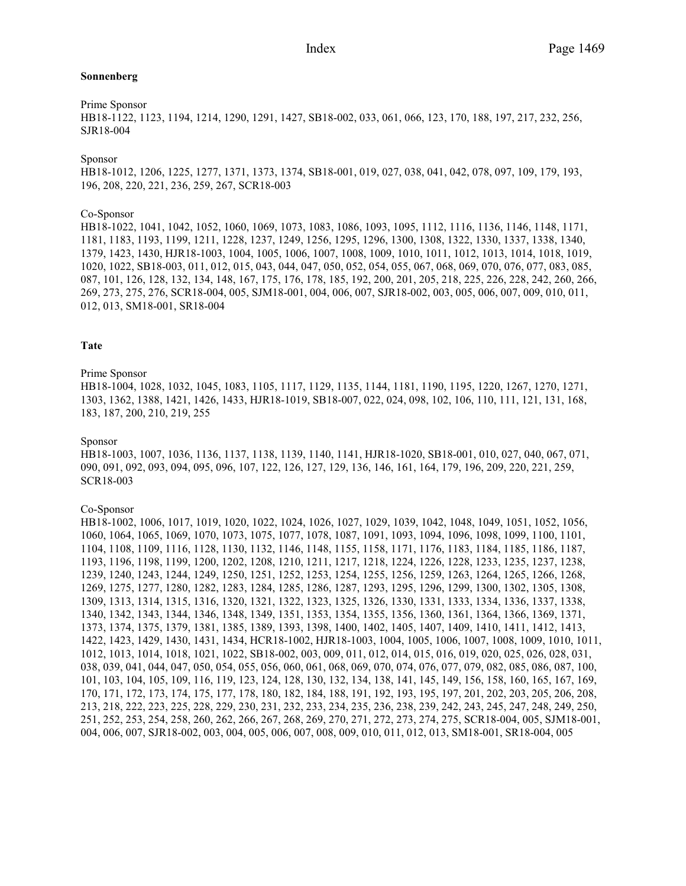# **Sonnenberg**

# Prime Sponsor

HB18-1122, 1123, 1194, 1214, 1290, 1291, 1427, SB18-002, 033, 061, 066, 123, 170, 188, 197, 217, 232, 256, SJR18-004

#### Sponsor

HB18-1012, 1206, 1225, 1277, 1371, 1373, 1374, SB18-001, 019, 027, 038, 041, 042, 078, 097, 109, 179, 193, 196, 208, 220, 221, 236, 259, 267, SCR18-003

## Co-Sponsor

HB18-1022, 1041, 1042, 1052, 1060, 1069, 1073, 1083, 1086, 1093, 1095, 1112, 1116, 1136, 1146, 1148, 1171, 1181, 1183, 1193, 1199, 1211, 1228, 1237, 1249, 1256, 1295, 1296, 1300, 1308, 1322, 1330, 1337, 1338, 1340, 1379, 1423, 1430, HJR18-1003, 1004, 1005, 1006, 1007, 1008, 1009, 1010, 1011, 1012, 1013, 1014, 1018, 1019, 1020, 1022, SB18-003, 011, 012, 015, 043, 044, 047, 050, 052, 054, 055, 067, 068, 069, 070, 076, 077, 083, 085, 087, 101, 126, 128, 132, 134, 148, 167, 175, 176, 178, 185, 192, 200, 201, 205, 218, 225, 226, 228, 242, 260, 266, 269, 273, 275, 276, SCR18-004, 005, SJM18-001, 004, 006, 007, SJR18-002, 003, 005, 006, 007, 009, 010, 011, 012, 013, SM18-001, SR18-004

#### **Tate**

#### Prime Sponsor

HB18-1004, 1028, 1032, 1045, 1083, 1105, 1117, 1129, 1135, 1144, 1181, 1190, 1195, 1220, 1267, 1270, 1271, 1303, 1362, 1388, 1421, 1426, 1433, HJR18-1019, SB18-007, 022, 024, 098, 102, 106, 110, 111, 121, 131, 168, 183, 187, 200, 210, 219, 255

## Sponsor

HB18-1003, 1007, 1036, 1136, 1137, 1138, 1139, 1140, 1141, HJR18-1020, SB18-001, 010, 027, 040, 067, 071, 090, 091, 092, 093, 094, 095, 096, 107, 122, 126, 127, 129, 136, 146, 161, 164, 179, 196, 209, 220, 221, 259, SCR18-003

#### Co-Sponsor

HB18-1002, 1006, 1017, 1019, 1020, 1022, 1024, 1026, 1027, 1029, 1039, 1042, 1048, 1049, 1051, 1052, 1056, 1060, 1064, 1065, 1069, 1070, 1073, 1075, 1077, 1078, 1087, 1091, 1093, 1094, 1096, 1098, 1099, 1100, 1101, 1104, 1108, 1109, 1116, 1128, 1130, 1132, 1146, 1148, 1155, 1158, 1171, 1176, 1183, 1184, 1185, 1186, 1187, 1193, 1196, 1198, 1199, 1200, 1202, 1208, 1210, 1211, 1217, 1218, 1224, 1226, 1228, 1233, 1235, 1237, 1238, 1239, 1240, 1243, 1244, 1249, 1250, 1251, 1252, 1253, 1254, 1255, 1256, 1259, 1263, 1264, 1265, 1266, 1268, 1269, 1275, 1277, 1280, 1282, 1283, 1284, 1285, 1286, 1287, 1293, 1295, 1296, 1299, 1300, 1302, 1305, 1308, 1309, 1313, 1314, 1315, 1316, 1320, 1321, 1322, 1323, 1325, 1326, 1330, 1331, 1333, 1334, 1336, 1337, 1338, 1340, 1342, 1343, 1344, 1346, 1348, 1349, 1351, 1353, 1354, 1355, 1356, 1360, 1361, 1364, 1366, 1369, 1371, 1373, 1374, 1375, 1379, 1381, 1385, 1389, 1393, 1398, 1400, 1402, 1405, 1407, 1409, 1410, 1411, 1412, 1413, 1422, 1423, 1429, 1430, 1431, 1434, HCR18-1002, HJR18-1003, 1004, 1005, 1006, 1007, 1008, 1009, 1010, 1011, 1012, 1013, 1014, 1018, 1021, 1022, SB18-002, 003, 009, 011, 012, 014, 015, 016, 019, 020, 025, 026, 028, 031, 038, 039, 041, 044, 047, 050, 054, 055, 056, 060, 061, 068, 069, 070, 074, 076, 077, 079, 082, 085, 086, 087, 100, 101, 103, 104, 105, 109, 116, 119, 123, 124, 128, 130, 132, 134, 138, 141, 145, 149, 156, 158, 160, 165, 167, 169, 170, 171, 172, 173, 174, 175, 177, 178, 180, 182, 184, 188, 191, 192, 193, 195, 197, 201, 202, 203, 205, 206, 208, 213, 218, 222, 223, 225, 228, 229, 230, 231, 232, 233, 234, 235, 236, 238, 239, 242, 243, 245, 247, 248, 249, 250, 251, 252, 253, 254, 258, 260, 262, 266, 267, 268, 269, 270, 271, 272, 273, 274, 275, SCR18-004, 005, SJM18-001, 004, 006, 007, SJR18-002, 003, 004, 005, 006, 007, 008, 009, 010, 011, 012, 013, SM18-001, SR18-004, 005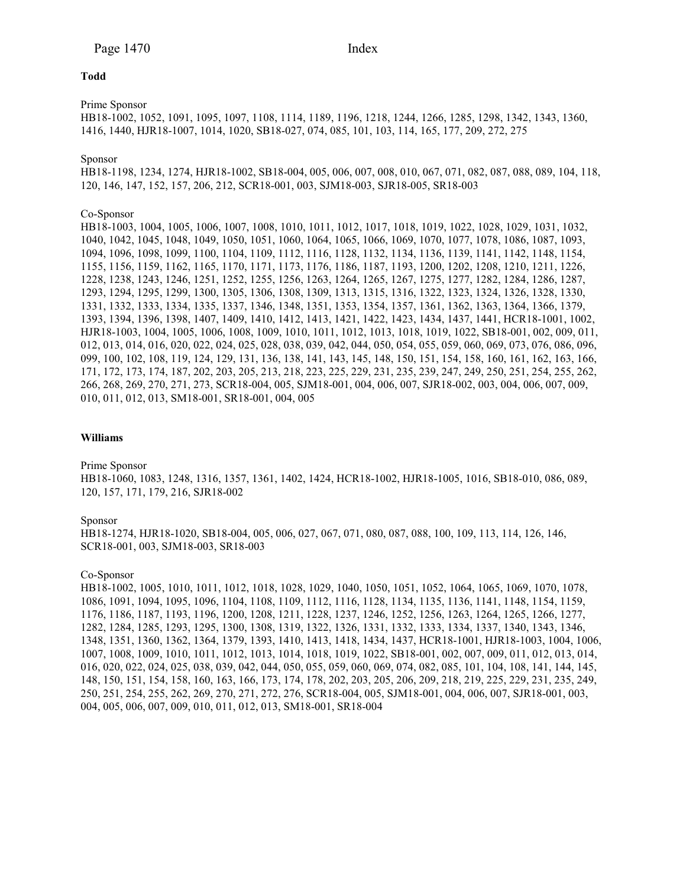# **Todd**

Prime Sponsor

HB18-1002, 1052, 1091, 1095, 1097, 1108, 1114, 1189, 1196, 1218, 1244, 1266, 1285, 1298, 1342, 1343, 1360, 1416, 1440, HJR18-1007, 1014, 1020, SB18-027, 074, 085, 101, 103, 114, 165, 177, 209, 272, 275

#### Sponsor

HB18-1198, 1234, 1274, HJR18-1002, SB18-004, 005, 006, 007, 008, 010, 067, 071, 082, 087, 088, 089, 104, 118, 120, 146, 147, 152, 157, 206, 212, SCR18-001, 003, SJM18-003, SJR18-005, SR18-003

# Co-Sponsor

HB18-1003, 1004, 1005, 1006, 1007, 1008, 1010, 1011, 1012, 1017, 1018, 1019, 1022, 1028, 1029, 1031, 1032, 1040, 1042, 1045, 1048, 1049, 1050, 1051, 1060, 1064, 1065, 1066, 1069, 1070, 1077, 1078, 1086, 1087, 1093, 1094, 1096, 1098, 1099, 1100, 1104, 1109, 1112, 1116, 1128, 1132, 1134, 1136, 1139, 1141, 1142, 1148, 1154, 1155, 1156, 1159, 1162, 1165, 1170, 1171, 1173, 1176, 1186, 1187, 1193, 1200, 1202, 1208, 1210, 1211, 1226, 1228, 1238, 1243, 1246, 1251, 1252, 1255, 1256, 1263, 1264, 1265, 1267, 1275, 1277, 1282, 1284, 1286, 1287, 1293, 1294, 1295, 1299, 1300, 1305, 1306, 1308, 1309, 1313, 1315, 1316, 1322, 1323, 1324, 1326, 1328, 1330, 1331, 1332, 1333, 1334, 1335, 1337, 1346, 1348, 1351, 1353, 1354, 1357, 1361, 1362, 1363, 1364, 1366, 1379, 1393, 1394, 1396, 1398, 1407, 1409, 1410, 1412, 1413, 1421, 1422, 1423, 1434, 1437, 1441, HCR18-1001, 1002, HJR18-1003, 1004, 1005, 1006, 1008, 1009, 1010, 1011, 1012, 1013, 1018, 1019, 1022, SB18-001, 002, 009, 011, 012, 013, 014, 016, 020, 022, 024, 025, 028, 038, 039, 042, 044, 050, 054, 055, 059, 060, 069, 073, 076, 086, 096, 099, 100, 102, 108, 119, 124, 129, 131, 136, 138, 141, 143, 145, 148, 150, 151, 154, 158, 160, 161, 162, 163, 166, 171, 172, 173, 174, 187, 202, 203, 205, 213, 218, 223, 225, 229, 231, 235, 239, 247, 249, 250, 251, 254, 255, 262, 266, 268, 269, 270, 271, 273, SCR18-004, 005, SJM18-001, 004, 006, 007, SJR18-002, 003, 004, 006, 007, 009, 010, 011, 012, 013, SM18-001, SR18-001, 004, 005

# **Williams**

#### Prime Sponsor

HB18-1060, 1083, 1248, 1316, 1357, 1361, 1402, 1424, HCR18-1002, HJR18-1005, 1016, SB18-010, 086, 089, 120, 157, 171, 179, 216, SJR18-002

Sponsor

HB18-1274, HJR18-1020, SB18-004, 005, 006, 027, 067, 071, 080, 087, 088, 100, 109, 113, 114, 126, 146, SCR18-001, 003, SJM18-003, SR18-003

#### Co-Sponsor

HB18-1002, 1005, 1010, 1011, 1012, 1018, 1028, 1029, 1040, 1050, 1051, 1052, 1064, 1065, 1069, 1070, 1078, 1086, 1091, 1094, 1095, 1096, 1104, 1108, 1109, 1112, 1116, 1128, 1134, 1135, 1136, 1141, 1148, 1154, 1159, 1176, 1186, 1187, 1193, 1196, 1200, 1208, 1211, 1228, 1237, 1246, 1252, 1256, 1263, 1264, 1265, 1266, 1277, 1282, 1284, 1285, 1293, 1295, 1300, 1308, 1319, 1322, 1326, 1331, 1332, 1333, 1334, 1337, 1340, 1343, 1346, 1348, 1351, 1360, 1362, 1364, 1379, 1393, 1410, 1413, 1418, 1434, 1437, HCR18-1001, HJR18-1003, 1004, 1006, 1007, 1008, 1009, 1010, 1011, 1012, 1013, 1014, 1018, 1019, 1022, SB18-001, 002, 007, 009, 011, 012, 013, 014, 016, 020, 022, 024, 025, 038, 039, 042, 044, 050, 055, 059, 060, 069, 074, 082, 085, 101, 104, 108, 141, 144, 145, 148, 150, 151, 154, 158, 160, 163, 166, 173, 174, 178, 202, 203, 205, 206, 209, 218, 219, 225, 229, 231, 235, 249, 250, 251, 254, 255, 262, 269, 270, 271, 272, 276, SCR18-004, 005, SJM18-001, 004, 006, 007, SJR18-001, 003, 004, 005, 006, 007, 009, 010, 011, 012, 013, SM18-001, SR18-004